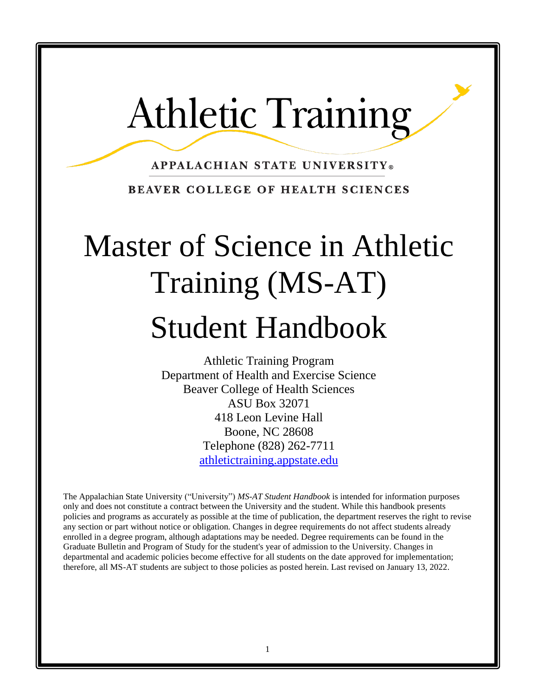# **Athletic Training**

**APPALACHIAN STATE UNIVERSITY®** 

**BEAVER COLLEGE OF HEALTH SCIENCES** 

## Master of Science in Athletic Training (MS-AT)

## Student Handbook

Athletic Training Program Department of Health and Exercise Science Beaver College of Health Sciences ASU Box 32071 418 Leon Levine Hall Boone, NC 28608 Telephone (828) 262-7711 [athletictraining.appstate.edu](https://hes.appstate.edu/academics/athletic-training)

The Appalachian State University ("University") *MS-AT Student Handbook* is intended for information purposes only and does not constitute a contract between the University and the student. While this handbook presents policies and programs as accurately as possible at the time of publication, the department reserves the right to revise any section or part without notice or obligation. Changes in degree requirements do not affect students already enrolled in a degree program, although adaptations may be needed. Degree requirements can be found in the Graduate Bulletin and Program of Study for the student's year of admission to the University. Changes in departmental and academic policies become effective for all students on the date approved for implementation; therefore, all MS-AT students are subject to those policies as posted herein. Last revised on January 13, 2022.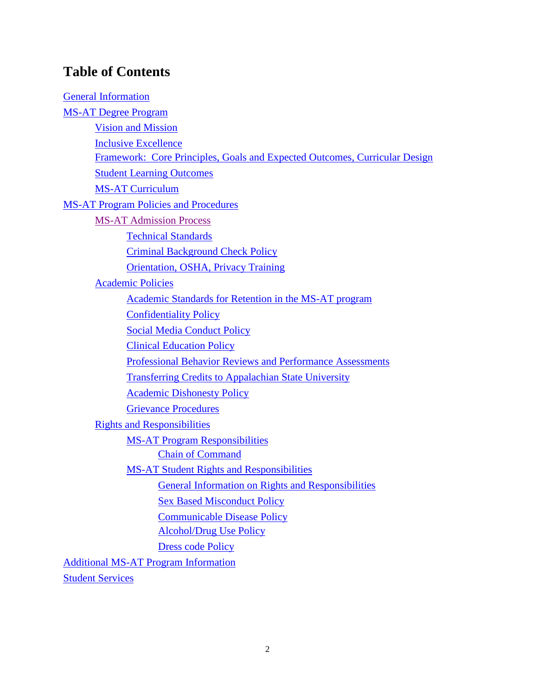## <span id="page-1-1"></span>**Table of Contents**

<span id="page-1-0"></span>

| <b>General Information</b>                                                 |
|----------------------------------------------------------------------------|
| <b>MS-AT Degree Program</b>                                                |
| <b>Vision and Mission</b>                                                  |
| <b>Inclusive Excellence</b>                                                |
| Framework: Core Principles, Goals and Expected Outcomes, Curricular Design |
| <b>Student Learning Outcomes</b>                                           |
| <b>MS-AT Curriculum</b>                                                    |
| <b>MS-AT Program Policies and Procedures</b>                               |
| <b>MS-AT Admission Process</b>                                             |
| <b>Technical Standards</b>                                                 |
| <b>Criminal Background Check Policy</b>                                    |
| <b>Orientation, OSHA, Privacy Training</b>                                 |
| <b>Academic Policies</b>                                                   |
| Academic Standards for Retention in the MS-AT program                      |
| <b>Confidentiality Policy</b>                                              |
| <b>Social Media Conduct Policy</b>                                         |
| <b>Clinical Education Policy</b>                                           |
| <b>Professional Behavior Reviews and Performance Assessments</b>           |
| <b>Transferring Credits to Appalachian State University</b>                |
| <b>Academic Dishonesty Policy</b>                                          |
| <b>Grievance Procedures</b>                                                |
| <b>Rights and Responsibilities</b>                                         |
| <b>MS-AT Program Responsibilities</b>                                      |
| <b>Chain of Command</b>                                                    |
| <b>MS-AT Student Rights and Responsibilities</b>                           |
| <b>General Information on Rights and Responsibilities</b>                  |
| <b>Sex Based Misconduct Policy</b>                                         |
| <b>Communicable Disease Policy</b>                                         |
| <b>Alcohol/Drug Use Policy</b>                                             |
| <b>Dress code Policy</b>                                                   |
| <b>Additional MS-AT Program Information</b>                                |
| <b>Student Services</b>                                                    |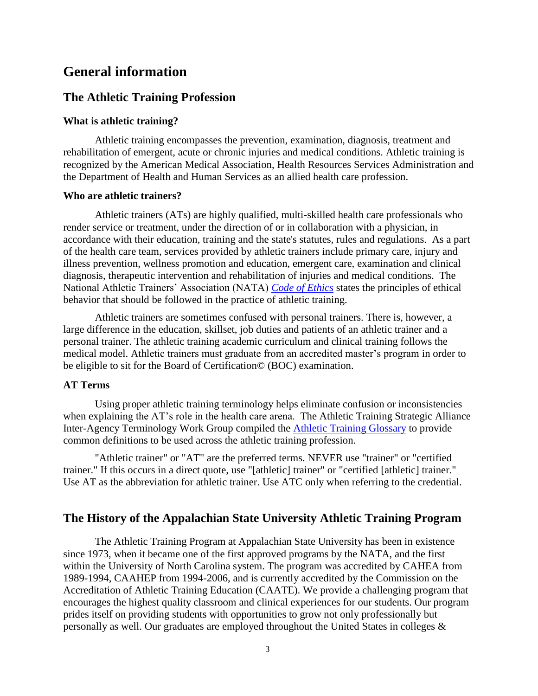### **General information**

#### **The Athletic Training Profession**

#### **What is athletic training?**

Athletic training encompasses the prevention, examination, diagnosis, treatment and rehabilitation of emergent, acute or chronic injuries and medical conditions. Athletic training is recognized by the American Medical Association, Health Resources Services Administration and the Department of Health and Human Services as an allied health care profession.

#### **Who are athletic trainers?**

Athletic trainers (ATs) are highly qualified, multi-skilled health care professionals who render service or treatment, under the direction of or in collaboration with a physician, in accordance with their education, training and the state's statutes, rules and regulations. As a part of the health care team, services provided by athletic trainers include primary care, injury and illness prevention, wellness promotion and education, emergent care, examination and clinical diagnosis, therapeutic intervention and rehabilitation of injuries and medical conditions. The National Athletic Trainers' Association (NATA) *[Code of Ethics](https://www.nata.org/membership/about-membership/member-resources/code-of-ethics)* states the principles of ethical behavior that should be followed in the practice of athletic training.

Athletic trainers are sometimes confused with personal trainers. There is, however, a large difference in the education, skillset, job duties and patients of an athletic trainer and a personal trainer. The athletic training academic curriculum and clinical training follows the medical model. Athletic trainers must graduate from an accredited master's program in order to be eligible to sit for the Board of Certification© (BOC) examination.

#### **AT Terms**

Using proper athletic training terminology helps eliminate confusion or inconsistencies when explaining the AT's role in the health care arena. The Athletic Training Strategic Alliance Inter-Agency Terminology Work Group compiled the [Athletic Training Glossary](https://www.nata.org/about/athletic-training/athletic-training-glossary) to provide common definitions to be used across the athletic training profession.

"Athletic trainer" or "AT" are the preferred terms. NEVER use "trainer" or "certified trainer." If this occurs in a direct quote, use "[athletic] trainer" or "certified [athletic] trainer." Use AT as the abbreviation for athletic trainer. Use ATC only when referring to the credential.

#### **The History of the Appalachian State University Athletic Training Program**

The Athletic Training Program at Appalachian State University has been in existence since 1973, when it became one of the first approved programs by the NATA, and the first within the University of North Carolina system. The program was accredited by CAHEA from 1989-1994, CAAHEP from 1994-2006, and is currently accredited by the Commission on the Accreditation of Athletic Training Education (CAATE). We provide a challenging program that encourages the highest quality classroom and clinical experiences for our students. Our program prides itself on providing students with opportunities to grow not only professionally but personally as well. Our graduates are employed throughout the United States in colleges &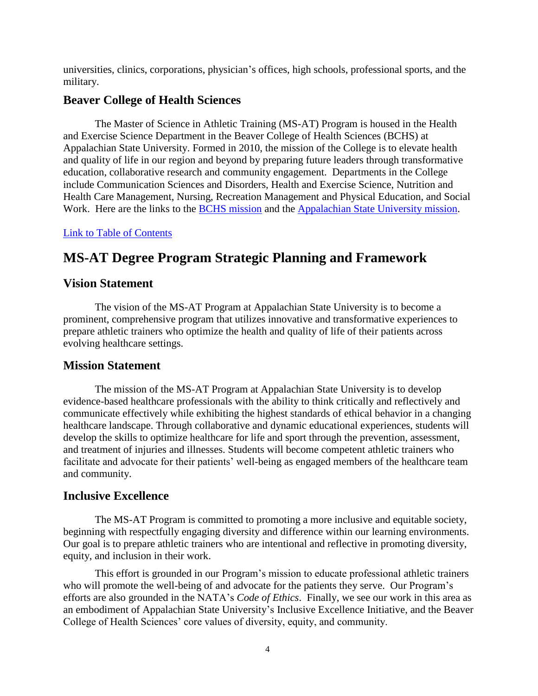universities, clinics, corporations, physician's offices, high schools, professional sports, and the military.

#### **Beaver College of Health Sciences**

The Master of Science in Athletic Training (MS-AT) Program is housed in the Health and Exercise Science Department in the Beaver College of Health Sciences (BCHS) at Appalachian State University. Formed in 2010, the mission of the College is to elevate health and quality of life in our region and beyond by preparing future leaders through transformative education, collaborative research and community engagement. Departments in the College include Communication Sciences and Disorders, Health and Exercise Science, Nutrition and Health Care Management, Nursing, Recreation Management and Physical Education, and Social Work. Here are the links to the [BCHS mission](https://healthsciences.appstate.edu/about-college/mission-vision) and the [Appalachian State University mission.](https://www.appstate.edu/about/mission-values/)

#### <span id="page-3-0"></span>[Link to Table of Contents](#page-1-1)

## **MS-AT Degree Program Strategic Planning and Framework**

#### <span id="page-3-1"></span>**Vision Statement**

The vision of the MS-AT Program at Appalachian State University is to become a prominent, comprehensive program that utilizes innovative and transformative experiences to prepare athletic trainers who optimize the health and quality of life of their patients across evolving healthcare settings.

#### **Mission Statement**

The mission of the MS-AT Program at Appalachian State University is to develop evidence-based healthcare professionals with the ability to think critically and reflectively and communicate effectively while exhibiting the highest standards of ethical behavior in a changing healthcare landscape. Through collaborative and dynamic educational experiences, students will develop the skills to optimize healthcare for life and sport through the prevention, assessment, and treatment of injuries and illnesses. Students will become competent athletic trainers who facilitate and advocate for their patients' well-being as engaged members of the healthcare team and community.

#### **Inclusive Excellence**

The MS-AT Program is committed to promoting a more inclusive and equitable society, beginning with respectfully engaging diversity and difference within our learning environments. Our goal is to prepare athletic trainers who are intentional and reflective in promoting diversity, equity, and inclusion in their work.

This effort is grounded in our Program's mission to educate professional athletic trainers who will promote the well-being of and advocate for the patients they serve. Our Program's efforts are also grounded in the NATA's *Code of Ethics*. Finally, we see our work in this area as an embodiment of Appalachian State University's Inclusive Excellence Initiative, and the Beaver College of Health Sciences' core values of diversity, equity, and community.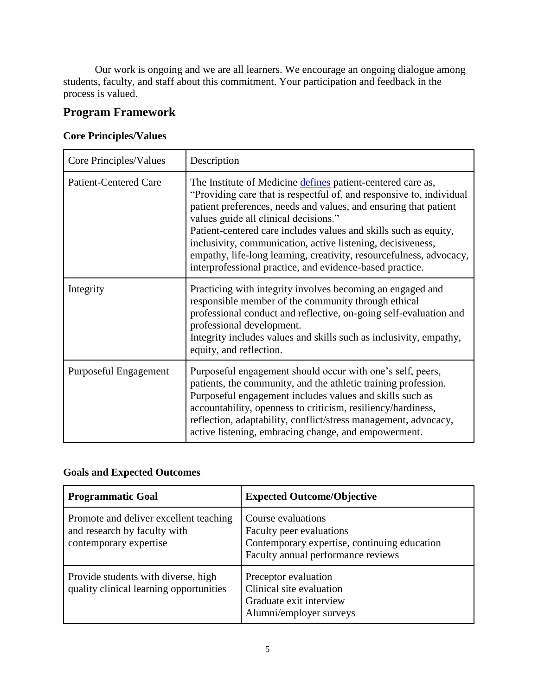Our work is ongoing and we are all learners. We encourage an ongoing dialogue among students, faculty, and staff about this commitment. Your participation and feedback in the process is valued.

## <span id="page-4-1"></span>**Program Framework**

#### <span id="page-4-0"></span>**Core Principles/Values**

| Core Principles/Values       | Description                                                                                                                                                                                                                                                                                                                                                                                                                                                                                                            |
|------------------------------|------------------------------------------------------------------------------------------------------------------------------------------------------------------------------------------------------------------------------------------------------------------------------------------------------------------------------------------------------------------------------------------------------------------------------------------------------------------------------------------------------------------------|
| <b>Patient-Centered Care</b> | The Institute of Medicine defines patient-centered care as,<br>"Providing care that is respectful of, and responsive to, individual<br>patient preferences, needs and values, and ensuring that patient<br>values guide all clinical decisions."<br>Patient-centered care includes values and skills such as equity,<br>inclusivity, communication, active listening, decisiveness,<br>empathy, life-long learning, creativity, resourcefulness, advocacy,<br>interprofessional practice, and evidence-based practice. |
| Integrity                    | Practicing with integrity involves becoming an engaged and<br>responsible member of the community through ethical<br>professional conduct and reflective, on-going self-evaluation and<br>professional development.<br>Integrity includes values and skills such as inclusivity, empathy,<br>equity, and reflection.                                                                                                                                                                                                   |
| Purposeful Engagement        | Purposeful engagement should occur with one's self, peers,<br>patients, the community, and the athletic training profession.<br>Purposeful engagement includes values and skills such as<br>accountability, openness to criticism, resiliency/hardiness,<br>reflection, adaptability, conflict/stress management, advocacy,<br>active listening, embracing change, and empowerment.                                                                                                                                    |

#### **Goals and Expected Outcomes**

| <b>Programmatic Goal</b>                                                                         | <b>Expected Outcome/Objective</b>                                                                                                    |  |  |
|--------------------------------------------------------------------------------------------------|--------------------------------------------------------------------------------------------------------------------------------------|--|--|
| Promote and deliver excellent teaching<br>and research by faculty with<br>contemporary expertise | Course evaluations<br>Faculty peer evaluations<br>Contemporary expertise, continuing education<br>Faculty annual performance reviews |  |  |
| Provide students with diverse, high<br>quality clinical learning opportunities                   | Preceptor evaluation<br>Clinical site evaluation<br>Graduate exit interview<br>Alumni/employer surveys                               |  |  |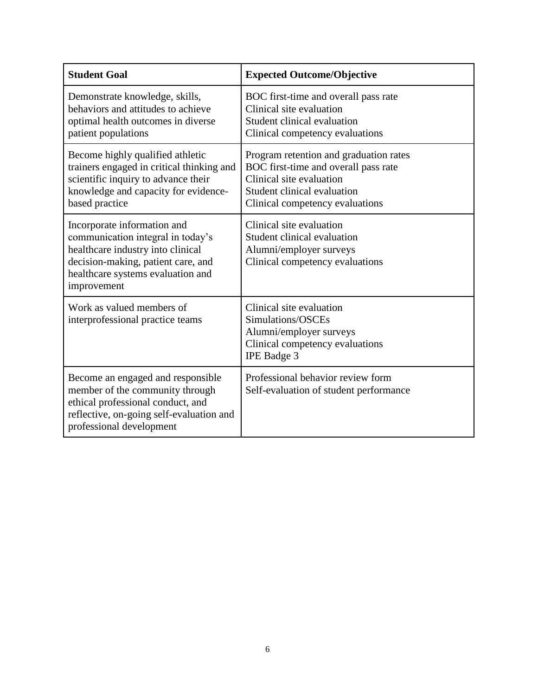| <b>Student Goal</b>                                                                                                                                                                             | <b>Expected Outcome/Objective</b>                                                                                                                                            |
|-------------------------------------------------------------------------------------------------------------------------------------------------------------------------------------------------|------------------------------------------------------------------------------------------------------------------------------------------------------------------------------|
| Demonstrate knowledge, skills,<br>behaviors and attitudes to achieve<br>optimal health outcomes in diverse<br>patient populations                                                               | BOC first-time and overall pass rate<br>Clinical site evaluation<br>Student clinical evaluation<br>Clinical competency evaluations                                           |
| Become highly qualified athletic<br>trainers engaged in critical thinking and<br>scientific inquiry to advance their<br>knowledge and capacity for evidence-<br>based practice                  | Program retention and graduation rates<br>BOC first-time and overall pass rate<br>Clinical site evaluation<br>Student clinical evaluation<br>Clinical competency evaluations |
| Incorporate information and<br>communication integral in today's<br>healthcare industry into clinical<br>decision-making, patient care, and<br>healthcare systems evaluation and<br>improvement | Clinical site evaluation<br>Student clinical evaluation<br>Alumni/employer surveys<br>Clinical competency evaluations                                                        |
| Work as valued members of<br>interprofessional practice teams                                                                                                                                   | Clinical site evaluation<br>Simulations/OSCEs<br>Alumni/employer surveys<br>Clinical competency evaluations<br>IPE Badge 3                                                   |
| Become an engaged and responsible<br>member of the community through<br>ethical professional conduct, and<br>reflective, on-going self-evaluation and<br>professional development               | Professional behavior review form<br>Self-evaluation of student performance                                                                                                  |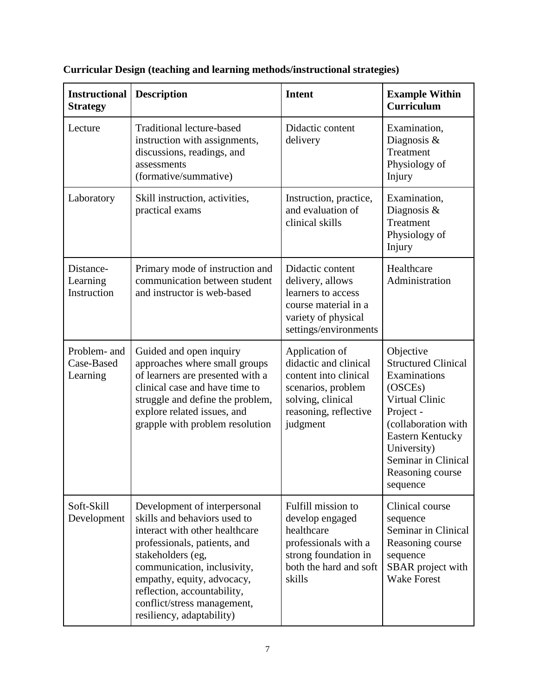| <b>Instructional</b><br><b>Strategy</b> | <b>Description</b>                                                                                                                                                                                                                                                                                          | <b>Intent</b>                                                                                                                                    | <b>Example Within</b><br>Curriculum                                                                                                                                                                                              |  |
|-----------------------------------------|-------------------------------------------------------------------------------------------------------------------------------------------------------------------------------------------------------------------------------------------------------------------------------------------------------------|--------------------------------------------------------------------------------------------------------------------------------------------------|----------------------------------------------------------------------------------------------------------------------------------------------------------------------------------------------------------------------------------|--|
| Lecture                                 | <b>Traditional lecture-based</b><br>instruction with assignments,<br>discussions, readings, and<br>assessments<br>(formative/summative)                                                                                                                                                                     | Didactic content<br>delivery                                                                                                                     | Examination,<br>Diagnosis $\&$<br>Treatment<br>Physiology of<br>Injury                                                                                                                                                           |  |
| Laboratory                              | Skill instruction, activities,<br>practical exams                                                                                                                                                                                                                                                           | Instruction, practice,<br>and evaluation of<br>clinical skills                                                                                   | Examination,<br>Diagnosis $\&$<br>Treatment<br>Physiology of<br>Injury                                                                                                                                                           |  |
| Distance-<br>Learning<br>Instruction    | Primary mode of instruction and<br>communication between student<br>and instructor is web-based                                                                                                                                                                                                             | Didactic content<br>delivery, allows<br>learners to access<br>course material in a<br>variety of physical<br>settings/environments               | Healthcare<br>Administration                                                                                                                                                                                                     |  |
| Problem- and<br>Case-Based<br>Learning  | Guided and open inquiry<br>approaches where small groups<br>of learners are presented with a<br>clinical case and have time to<br>struggle and define the problem,<br>explore related issues, and<br>grapple with problem resolution                                                                        | Application of<br>didactic and clinical<br>content into clinical<br>scenarios, problem<br>solving, clinical<br>reasoning, reflective<br>judgment | Objective<br><b>Structured Clinical</b><br>Examinations<br>(OSCEs)<br><b>Virtual Clinic</b><br>Project -<br>(collaboration with<br><b>Eastern Kentucky</b><br>University)<br>Seminar in Clinical<br>Reasoning course<br>sequence |  |
| Soft-Skill<br>Development               | Development of interpersonal<br>skills and behaviors used to<br>interact with other healthcare<br>professionals, patients, and<br>stakeholders (eg,<br>communication, inclusivity,<br>empathy, equity, advocacy,<br>reflection, accountability,<br>conflict/stress management,<br>resiliency, adaptability) | Fulfill mission to<br>develop engaged<br>healthcare<br>professionals with a<br>strong foundation in<br>both the hard and soft<br>skills          | Clinical course<br>sequence<br>Seminar in Clinical<br>Reasoning course<br>sequence<br>SBAR project with<br><b>Wake Forest</b>                                                                                                    |  |

**Curricular Design (teaching and learning methods/instructional strategies)**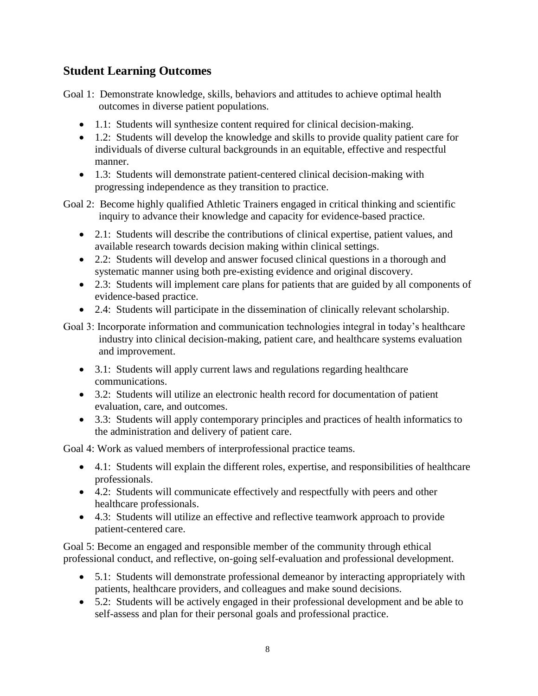### <span id="page-7-0"></span>**Student Learning Outcomes**

Goal 1: Demonstrate knowledge, skills, behaviors and attitudes to achieve optimal health outcomes in diverse patient populations.

- 1.1: Students will synthesize content required for clinical decision-making.
- 1.2: Students will develop the knowledge and skills to provide quality patient care for individuals of diverse cultural backgrounds in an equitable, effective and respectful manner.
- 1.3: Students will demonstrate patient-centered clinical decision-making with progressing independence as they transition to practice.

Goal 2: Become highly qualified Athletic Trainers engaged in critical thinking and scientific inquiry to advance their knowledge and capacity for evidence-based practice.

- 2.1: Students will describe the contributions of clinical expertise, patient values, and available research towards decision making within clinical settings.
- 2.2: Students will develop and answer focused clinical questions in a thorough and systematic manner using both pre-existing evidence and original discovery.
- 2.3: Students will implement care plans for patients that are guided by all components of evidence-based practice.
- 2.4: Students will participate in the dissemination of clinically relevant scholarship.
- Goal 3: Incorporate information and communication technologies integral in today's healthcare industry into clinical decision-making, patient care, and healthcare systems evaluation and improvement.
	- 3.1: Students will apply current laws and regulations regarding healthcare communications.
	- 3.2: Students will utilize an electronic health record for documentation of patient evaluation, care, and outcomes.
	- 3.3: Students will apply contemporary principles and practices of health informatics to the administration and delivery of patient care.

Goal 4: Work as valued members of interprofessional practice teams.

- 4.1: Students will explain the different roles, expertise, and responsibilities of healthcare professionals.
- 4.2: Students will communicate effectively and respectfully with peers and other healthcare professionals.
- 4.3: Students will utilize an effective and reflective teamwork approach to provide patient-centered care.

Goal 5: Become an engaged and responsible member of the community through ethical professional conduct, and reflective, on-going self-evaluation and professional development.

- 5.1: Students will demonstrate professional demeanor by interacting appropriately with patients, healthcare providers, and colleagues and make sound decisions.
- 5.2: Students will be actively engaged in their professional development and be able to self-assess and plan for their personal goals and professional practice.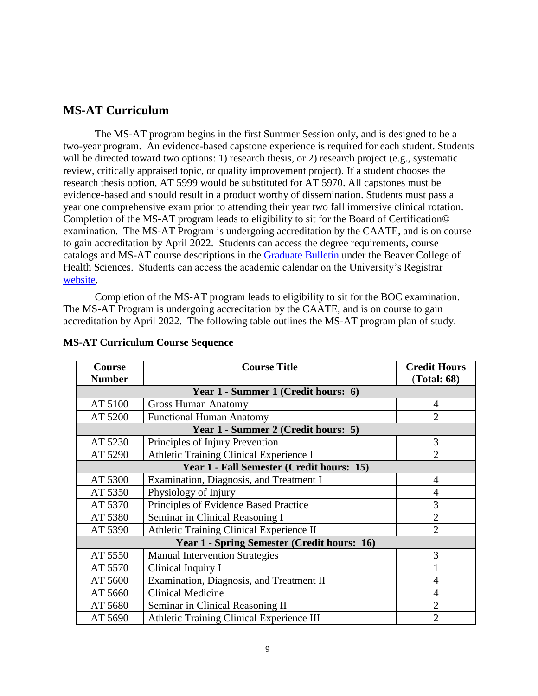#### <span id="page-8-0"></span>**MS-AT Curriculum**

The MS-AT program begins in the first Summer Session only, and is designed to be a two-year program. An evidence-based capstone experience is required for each student. Students will be directed toward two options: 1) research thesis, or 2) research project (e.g., systematic review, critically appraised topic, or quality improvement project). If a student chooses the research thesis option, AT 5999 would be substituted for AT 5970. All capstones must be evidence-based and should result in a product worthy of dissemination. Students must pass a year one comprehensive exam prior to attending their year two fall immersive clinical rotation. Completion of the MS-AT program leads to eligibility to sit for the Board of Certification© examination. The MS-AT Program is undergoing accreditation by the CAATE, and is on course to gain accreditation by April 2022. Students can access the degree requirements, course catalogs and MS-AT course descriptions in the [Graduate Bulletin](http://bulletin.appstate.edu/) under the Beaver College of Health Sciences. Students can access the academic calendar on the University's Registrar [website.](https://registrar.appstate.edu/)

Completion of the MS-AT program leads to eligibility to sit for the BOC examination. The MS-AT Program is undergoing accreditation by the CAATE, and is on course to gain accreditation by April 2022. The following table outlines the MS-AT program plan of study.

| <b>Course</b>                               | <b>Course Title</b>                       | <b>Credit Hours</b> |  |
|---------------------------------------------|-------------------------------------------|---------------------|--|
| <b>Number</b>                               |                                           | (Total: 68)         |  |
|                                             | Year 1 - Summer 1 (Credit hours: 6)       |                     |  |
| AT 5100                                     | <b>Gross Human Anatomy</b>                | 4                   |  |
| AT 5200                                     | <b>Functional Human Anatomy</b>           | $\mathfrak{D}$      |  |
|                                             | Year 1 - Summer 2 (Credit hours: 5)       |                     |  |
| AT 5230                                     | Principles of Injury Prevention           | 3                   |  |
| AT 5290                                     | Athletic Training Clinical Experience I   | $\overline{2}$      |  |
|                                             | Year 1 - Fall Semester (Credit hours: 15) |                     |  |
| AT 5300                                     | Examination, Diagnosis, and Treatment I   | $\overline{4}$      |  |
| AT 5350                                     | Physiology of Injury                      | 4                   |  |
| AT 5370                                     | Principles of Evidence Based Practice     | 3                   |  |
| AT 5380                                     | Seminar in Clinical Reasoning I           | $\overline{2}$      |  |
| AT 5390                                     | Athletic Training Clinical Experience II  | $\overline{2}$      |  |
| Year 1 - Spring Semester (Credit hours: 16) |                                           |                     |  |
| AT 5550                                     | <b>Manual Intervention Strategies</b>     | 3                   |  |
| AT 5570                                     | Clinical Inquiry I                        |                     |  |
| AT 5600                                     | Examination, Diagnosis, and Treatment II  | 4                   |  |
| AT 5660                                     | <b>Clinical Medicine</b>                  | 4                   |  |
| AT 5680                                     | Seminar in Clinical Reasoning II          | $\overline{2}$      |  |
| AT 5690                                     | Athletic Training Clinical Experience III | 2                   |  |

#### **MS-AT Curriculum Course Sequence**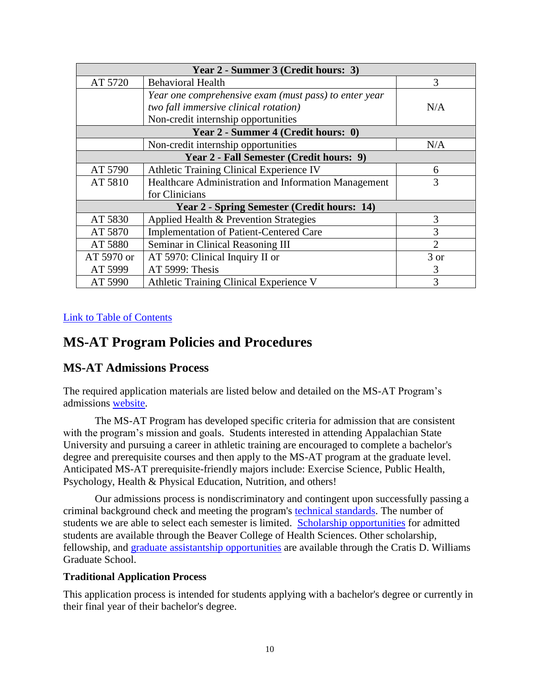| Year 2 - Summer 3 (Credit hours: 3)         |                                                       |                |  |  |
|---------------------------------------------|-------------------------------------------------------|----------------|--|--|
| AT 5720                                     | <b>Behavioral Health</b>                              | 3              |  |  |
|                                             | Year one comprehensive exam (must pass) to enter year |                |  |  |
|                                             | two fall immersive clinical rotation)                 | N/A            |  |  |
|                                             | Non-credit internship opportunities                   |                |  |  |
|                                             | Year 2 - Summer 4 (Credit hours: 0)                   |                |  |  |
|                                             | Non-credit internship opportunities                   | N/A            |  |  |
|                                             | Year 2 - Fall Semester (Credit hours: 9)              |                |  |  |
| AT 5790                                     | Athletic Training Clinical Experience IV              | 6              |  |  |
| AT 5810                                     | Healthcare Administration and Information Management  | 3              |  |  |
|                                             | for Clinicians                                        |                |  |  |
| Year 2 - Spring Semester (Credit hours: 14) |                                                       |                |  |  |
| AT 5830                                     | Applied Health & Prevention Strategies                | 3              |  |  |
| AT 5870                                     | <b>Implementation of Patient-Centered Care</b>        | 3              |  |  |
| AT 5880                                     | Seminar in Clinical Reasoning III                     | $\mathfrak{2}$ |  |  |
| AT 5970 or                                  | AT 5970: Clinical Inquiry II or                       | 3 or           |  |  |
| AT 5999                                     | AT 5999: Thesis                                       | 3              |  |  |
| AT 5990                                     | Athletic Training Clinical Experience V               | 3              |  |  |

#### <span id="page-9-0"></span>[Link to Table of Contents](#page-1-1)

## **MS-AT Program Policies and Procedures**

#### <span id="page-9-1"></span>**MS-AT Admissions Process**

The required application materials are listed below and detailed on the MS-AT Program's admissions [website.](file:///G:/My%20Drive/ATP/MS-AT/Handbook/athletictraining.appstate.edu)

The MS-AT Program has developed specific criteria for admission that are consistent with the program's mission and goals. Students interested in attending Appalachian State University and pursuing a career in athletic training are encouraged to complete a bachelor's degree and prerequisite courses and then apply to the MS-AT program at the graduate level. Anticipated MS-AT prerequisite-friendly majors include: Exercise Science, Public Health, Psychology, Health & Physical Education, Nutrition, and others!

Our admissions process is nondiscriminatory and contingent upon successfully passing a criminal background check and meeting the program's [technical standards.](https://hes.appstate.edu/sites/hes.appstate.edu/files/atp_technical_standards.pdf) The number of students we are able to select each semester is limited. [Scholarship opportunities](https://healthsciences.appstate.edu/students/scholarships) for admitted students are available through the Beaver College of Health Sciences. Other scholarship, fellowship, and [graduate assistantship opportunities](https://graduate.appstate.edu/prospective-students/financial-support/scholarships-and-fellowships) are available through the Cratis D. Williams Graduate School.

#### **Traditional Application Process**

This application process is intended for students applying with a bachelor's degree or currently in their final year of their bachelor's degree.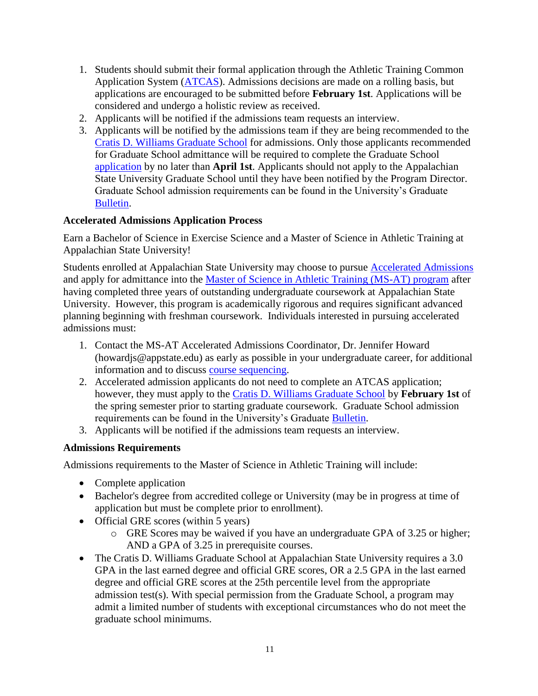- 1. Students should submit their formal application through the Athletic Training Common Application System [\(ATCAS\)](https://atcas.liaisoncas.com/applicant-ux/#/deeplink/programSearch/organization/7869467828267975441). Admissions decisions are made on a rolling basis, but applications are encouraged to be submitted before **February 1st**. Applications will be considered and undergo a holistic review as received.
- 2. Applicants will be notified if the admissions team requests an interview.
- 3. Applicants will be notified by the admissions team if they are being recommended to the [Cratis D. Williams Graduate School](https://graduate.appstate.edu/graduate-admissions/apply-graduate-school/graduate-degree-or-certificate-applicant) for admissions. Only those applicants recommended for Graduate School admittance will be required to complete the Graduate School [application](https://grad.appstate.edu/apply/) by no later than **April 1st**. Applicants should not apply to the Appalachian State University Graduate School until they have been notified by the Program Director. Graduate School admission requirements can be found in the University's Graduate [Bulletin.](http://bulletin.appstate.edu/)

#### **Accelerated Admissions Application Process**

Earn a Bachelor of Science in Exercise Science and a Master of Science in Athletic Training at Appalachian State University!

Students enrolled at Appalachian State University may choose to pursue [Accelerated Admissions](https://graduate.appstate.edu/accelerated-admission/eligibility-who-eligible) and apply for admittance into the [Master of Science in Athletic Training \(MS-AT\) program](http://bulletin.appstate.edu/preview_program.php?catoid=25&poid=10864&returnto=1470) after having completed three years of outstanding undergraduate coursework at Appalachian State University. However, this program is academically rigorous and requires significant advanced planning beginning with freshman coursework. Individuals interested in pursuing accelerated admissions must:

- 1. Contact the MS-AT Accelerated Admissions Coordinator, Dr. Jennifer Howard (howardjs@appstate.edu) as early as possible in your undergraduate career, for additional information and to discuss [course sequencing.](https://docs.google.com/spreadsheets/d/e/2PACX-1vRCNM-UAjArUoNP7cgTZ9yZ5HFdyNRvViNa5Ci5zpHweo84p9sSAFKRQeJvL2UCLR727UtdLlWf3Xs6/pubhtml)
- 2. Accelerated admission applicants do not need to complete an ATCAS application; however, they must apply to the [Cratis D. Williams Graduate School](https://grad.appstate.edu/apply/?sr=37c4e08a-1887-4e40-a0f9-ff85d1a4b990) by **February 1st** of the spring semester prior to starting graduate coursework. Graduate School admission requirements can be found in the University's Graduate [Bulletin.](http://bulletin.appstate.edu/preview_program.php?catoid=25&poid=10864&returnto=1470)
- 3. Applicants will be notified if the admissions team requests an interview.

#### **Admissions Requirements**

Admissions requirements to the Master of Science in Athletic Training will include:

- Complete application
- Bachelor's degree from accredited college or University (may be in progress at time of application but must be complete prior to enrollment).
- Official GRE scores (within 5 years)
	- o GRE Scores may be waived if you have an undergraduate GPA of 3.25 or higher; AND a GPA of 3.25 in prerequisite courses.
- The Cratis D. Williams Graduate School at Appalachian State University requires a 3.0 GPA in the last earned degree and official GRE scores, OR a 2.5 GPA in the last earned degree and official GRE scores at the 25th percentile level from the appropriate admission test(s). With special permission from the Graduate School, a program may admit a limited number of students with exceptional circumstances who do not meet the graduate school minimums.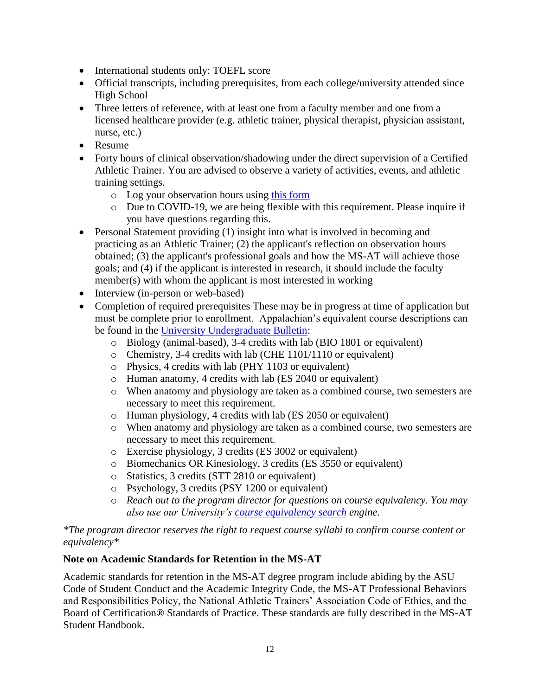- International students only: TOEFL score
- Official transcripts, including prerequisites, from each college/university attended since High School
- Three letters of reference, with at least one from a faculty member and one from a licensed healthcare provider (e.g. athletic trainer, physical therapist, physician assistant, nurse, etc.)
- Resume
- Forty hours of clinical observation/shadowing under the direct supervision of a Certified Athletic Trainer. You are advised to observe a variety of activities, events, and athletic training settings.
	- o Log your observation hours using [this form](https://hes.appstate.edu/sites/hes.appstate.edu/files/form-ms-at_applicant_documentation_of_observation_hours_1.pdf)
	- o Due to COVID-19, we are being flexible with this requirement. Please inquire if you have questions regarding this.
- Personal Statement providing (1) insight into what is involved in becoming and practicing as an Athletic Trainer; (2) the applicant's reflection on observation hours obtained; (3) the applicant's professional goals and how the MS-AT will achieve those goals; and (4) if the applicant is interested in research, it should include the faculty member(s) with whom the applicant is most interested in working
- Interview (in-person or web-based)
- Completion of required prerequisites These may be in progress at time of application but must be complete prior to enrollment. Appalachian's equivalent course descriptions can be found in the [University Undergraduate Bulletin:](http://bulletin.appstate.edu/preview_program.php?catoid=25&poid=10864&returnto=1470)
	- o Biology (animal-based), 3-4 credits with lab (BIO 1801 or equivalent)
	- o Chemistry, 3-4 credits with lab (CHE 1101/1110 or equivalent)
	- o Physics, 4 credits with lab (PHY 1103 or equivalent)
	- o Human anatomy, 4 credits with lab (ES 2040 or equivalent)
	- o When anatomy and physiology are taken as a combined course, two semesters are necessary to meet this requirement.
	- o Human physiology, 4 credits with lab (ES 2050 or equivalent)
	- o When anatomy and physiology are taken as a combined course, two semesters are necessary to meet this requirement.
	- o Exercise physiology, 3 credits (ES 3002 or equivalent)
	- o Biomechanics OR Kinesiology, 3 credits (ES 3550 or equivalent)
	- o Statistics, 3 credits (STT 2810 or equivalent)
	- o Psychology, 3 credits (PSY 1200 or equivalent)
	- o *Reach out to the program director for questions on course equivalency. You may also use our University's [course equivalency search](https://transfer.appstate.edu/credit) engine.*

*\*The program director reserves the right to request course syllabi to confirm course content or equivalency\**

#### **Note on Academic Standards for Retention in the MS-AT**

Academic standards for retention in the MS-AT degree program include abiding by the ASU Code of Student Conduct and the Academic Integrity Code, the MS-AT Professional Behaviors and Responsibilities Policy, the National Athletic Trainers' Association Code of Ethics, and the Board of Certification® Standards of Practice. These standards are fully described in the MS-AT Student Handbook.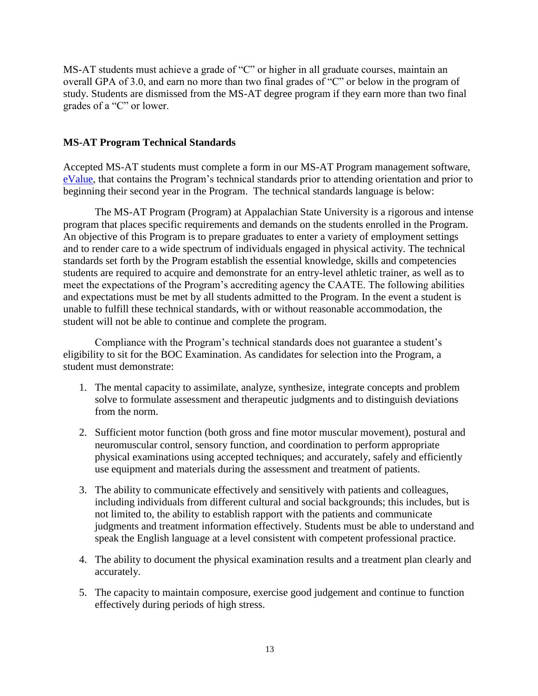MS-AT students must achieve a grade of "C" or higher in all graduate courses, maintain an overall GPA of 3.0, and earn no more than two final grades of "C" or below in the program of study. Students are dismissed from the MS-AT degree program if they earn more than two final grades of a "C" or lower.

#### <span id="page-12-0"></span>**MS-AT Program Technical Standards**

Accepted MS-AT students must complete a form in our MS-AT Program management software, [eValue,](http://www.evalue.net/) that contains the Program's technical standards prior to attending orientation and prior to beginning their second year in the Program. The technical standards language is below:

The MS-AT Program (Program) at Appalachian State University is a rigorous and intense program that places specific requirements and demands on the students enrolled in the Program. An objective of this Program is to prepare graduates to enter a variety of employment settings and to render care to a wide spectrum of individuals engaged in physical activity. The technical standards set forth by the Program establish the essential knowledge, skills and competencies students are required to acquire and demonstrate for an entry-level athletic trainer, as well as to meet the expectations of the Program's accrediting agency the CAATE. The following abilities and expectations must be met by all students admitted to the Program. In the event a student is unable to fulfill these technical standards, with or without reasonable accommodation, the student will not be able to continue and complete the program.

Compliance with the Program's technical standards does not guarantee a student's eligibility to sit for the BOC Examination. As candidates for selection into the Program, a student must demonstrate:

- 1. The mental capacity to assimilate, analyze, synthesize, integrate concepts and problem solve to formulate assessment and therapeutic judgments and to distinguish deviations from the norm.
- 2. Sufficient motor function (both gross and fine motor muscular movement), postural and neuromuscular control, sensory function, and coordination to perform appropriate physical examinations using accepted techniques; and accurately, safely and efficiently use equipment and materials during the assessment and treatment of patients.
- 3. The ability to communicate effectively and sensitively with patients and colleagues, including individuals from different cultural and social backgrounds; this includes, but is not limited to, the ability to establish rapport with the patients and communicate judgments and treatment information effectively. Students must be able to understand and speak the English language at a level consistent with competent professional practice.
- 4. The ability to document the physical examination results and a treatment plan clearly and accurately.
- 5. The capacity to maintain composure, exercise good judgement and continue to function effectively during periods of high stress.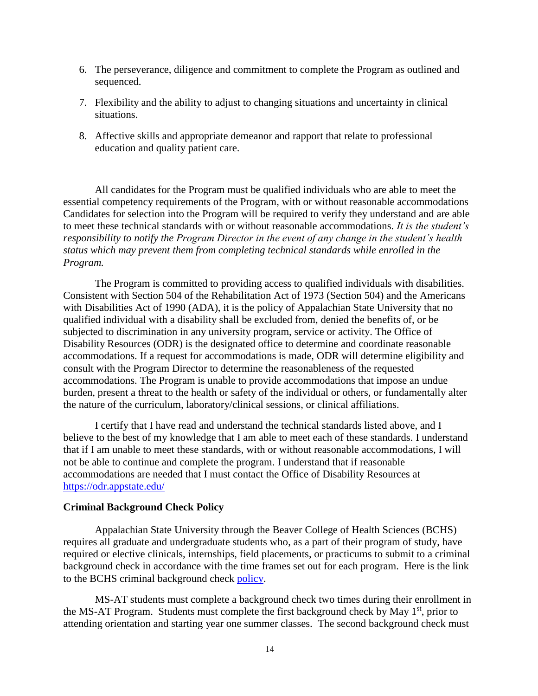- 6. The perseverance, diligence and commitment to complete the Program as outlined and sequenced.
- 7. Flexibility and the ability to adjust to changing situations and uncertainty in clinical situations.
- 8. Affective skills and appropriate demeanor and rapport that relate to professional education and quality patient care.

All candidates for the Program must be qualified individuals who are able to meet the essential competency requirements of the Program, with or without reasonable accommodations Candidates for selection into the Program will be required to verify they understand and are able to meet these technical standards with or without reasonable accommodations. *It is the student's responsibility to notify the Program Director in the event of any change in the student's health status which may prevent them from completing technical standards while enrolled in the Program.*

The Program is committed to providing access to qualified individuals with disabilities. Consistent with Section 504 of the Rehabilitation Act of 1973 (Section 504) and the Americans with Disabilities Act of 1990 (ADA), it is the policy of Appalachian State University that no qualified individual with a disability shall be excluded from, denied the benefits of, or be subjected to discrimination in any university program, service or activity. The Office of Disability Resources (ODR) is the designated office to determine and coordinate reasonable accommodations. If a request for accommodations is made, ODR will determine eligibility and consult with the Program Director to determine the reasonableness of the requested accommodations. The Program is unable to provide accommodations that impose an undue burden, present a threat to the health or safety of the individual or others, or fundamentally alter the nature of the curriculum, laboratory/clinical sessions, or clinical affiliations.

I certify that I have read and understand the technical standards listed above, and I believe to the best of my knowledge that I am able to meet each of these standards. I understand that if I am unable to meet these standards, with or without reasonable accommodations, I will not be able to continue and complete the program. I understand that if reasonable accommodations are needed that I must contact the Office of Disability Resources at <https://odr.appstate.edu/>

#### <span id="page-13-0"></span>**Criminal Background Check Policy**

Appalachian State University through the Beaver College of Health Sciences (BCHS) requires all graduate and undergraduate students who, as a part of their program of study, have required or elective clinicals, internships, field placements, or practicums to submit to a criminal background check in accordance with the time frames set out for each program. Here is the link to the BCHS criminal background check [policy.](https://docs.google.com/document/d/1OoK0DgPDZeMGYO8k63kK5ctQ7hnu16n3tq3Mir8o6aU/edit?usp=sharing)

MS-AT students must complete a background check two times during their enrollment in the MS-AT Program. Students must complete the first background check by May 1<sup>st</sup>, prior to attending orientation and starting year one summer classes. The second background check must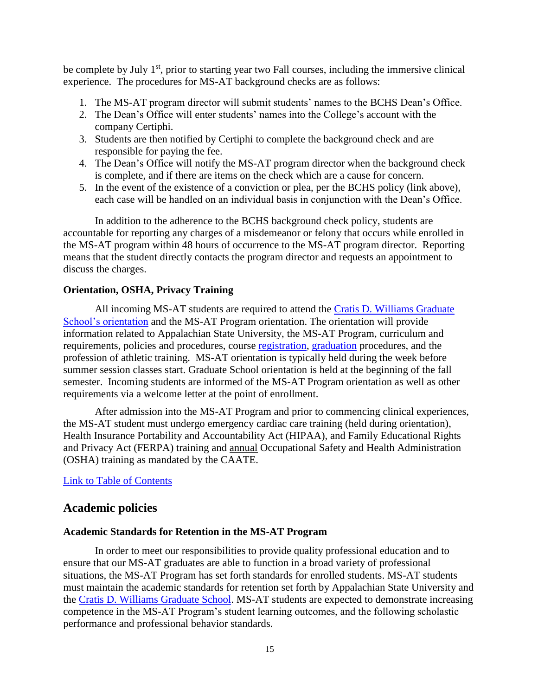be complete by July 1<sup>st</sup>, prior to starting year two Fall courses, including the immersive clinical experience. The procedures for MS-AT background checks are as follows:

- 1. The MS-AT program director will submit students' names to the BCHS Dean's Office.
- 2. The Dean's Office will enter students' names into the College's account with the company Certiphi.
- 3. Students are then notified by Certiphi to complete the background check and are responsible for paying the fee.
- 4. The Dean's Office will notify the MS-AT program director when the background check is complete, and if there are items on the check which are a cause for concern.
- 5. In the event of the existence of a conviction or plea, per the BCHS policy (link above), each case will be handled on an individual basis in conjunction with the Dean's Office.

In addition to the adherence to the BCHS background check policy, students are accountable for reporting any charges of a misdemeanor or felony that occurs while enrolled in the MS-AT program within 48 hours of occurrence to the MS-AT program director. Reporting means that the student directly contacts the program director and requests an appointment to discuss the charges.

#### <span id="page-14-0"></span>**Orientation, OSHA, Privacy Training**

All incoming MS-AT students are required to attend the [Cratis D. Williams Graduate](https://graduate.appstate.edu/enrolled-students/newly-admitted-students/orientation)  [School's orientation](https://graduate.appstate.edu/enrolled-students/newly-admitted-students/orientation) and the MS-AT Program orientation. The orientation will provide information related to Appalachian State University, the MS-AT Program, curriculum and requirements, policies and procedures, course [registration,](https://registrar.appstate.edu/students/registration-classes) [graduation](https://graduate.appstate.edu/enrolled-students/graduation-faqs) procedures, and the profession of athletic training. MS-AT orientation is typically held during the week before summer session classes start. Graduate School orientation is held at the beginning of the fall semester. Incoming students are informed of the MS-AT Program orientation as well as other requirements via a welcome letter at the point of enrollment.

After admission into the MS-AT Program and prior to commencing clinical experiences, the MS-AT student must undergo emergency cardiac care training (held during orientation), Health Insurance Portability and Accountability Act (HIPAA), and Family Educational Rights and Privacy Act (FERPA) training and annual Occupational Safety and Health Administration (OSHA) training as mandated by the CAATE.

#### [Link to Table of Contents](#page-1-1)

#### <span id="page-14-1"></span>**Academic policies**

#### <span id="page-14-2"></span>**Academic Standards for Retention in the MS-AT Program**

In order to meet our responsibilities to provide quality professional education and to ensure that our MS-AT graduates are able to function in a broad variety of professional situations, the MS-AT Program has set forth standards for enrolled students. MS-AT students must maintain the academic standards for retention set forth by Appalachian State University and the [Cratis D. Williams Graduate School.](http://bulletin.appstate.edu/) MS-AT students are expected to demonstrate increasing competence in the MS-AT Program's student learning outcomes, and the following scholastic performance and professional behavior standards.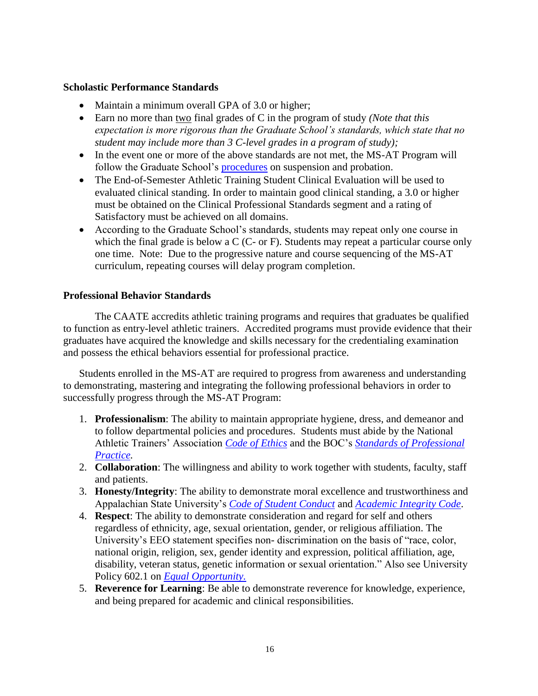#### **Scholastic Performance Standards**

- Maintain a minimum overall GPA of 3.0 or higher;
- Earn no more than <u>two</u> final grades of C in the program of study *(Note that this*) *expectation is more rigorous than the Graduate School's standards, which state that no student may include more than 3 C-level grades in a program of study);*
- In the event one or more of the above standards are not met, the MS-AT Program will follow the Graduate School's **procedures** on suspension and probation.
- The End-of-Semester Athletic Training Student Clinical Evaluation will be used to evaluated clinical standing. In order to maintain good clinical standing, a 3.0 or higher must be obtained on the Clinical Professional Standards segment and a rating of Satisfactory must be achieved on all domains.
- According to the Graduate School's standards, students may repeat only one course in which the final grade is below a C (C- or F). Students may repeat a particular course only one time. Note: Due to the progressive nature and course sequencing of the MS-AT curriculum, repeating courses will delay program completion.

#### **Professional Behavior Standards**

The CAATE accredits athletic training programs and requires that graduates be qualified to function as entry-level athletic trainers. Accredited programs must provide evidence that their graduates have acquired the knowledge and skills necessary for the credentialing examination and possess the ethical behaviors essential for professional practice.

Students enrolled in the MS-AT are required to progress from awareness and understanding to demonstrating, mastering and integrating the following professional behaviors in order to successfully progress through the MS-AT Program:

- 1. **Professionalism**: The ability to maintain appropriate hygiene, dress, and demeanor and to follow departmental policies and procedures. Students must abide by the National Athletic Trainers' Association *[Code of Ethics](https://www.nata.org/membership/about-membership/member-resources/code-of-ethics)* and the BOC's *[Standards of Professional](https://www.bocatc.org/system/document_versions/versions/154/original/boc-standards-of-professional-practice-2018-20180619.pdf?1529433022)  [Practice.](https://www.bocatc.org/system/document_versions/versions/154/original/boc-standards-of-professional-practice-2018-20180619.pdf?1529433022)*
- 2. **Collaboration**: The willingness and ability to work together with students, faculty, staff and patients.
- 3. **Honesty/Integrity**: The ability to demonstrate moral excellence and trustworthiness and Appalachian State University's *[Code of Student Conduct](https://studentconduct.appstate.edu/)* and *[Academic Integrity Code](https://academicintegrity.appstate.edu/)*.
- 4. **Respect**: The ability to demonstrate consideration and regard for self and others regardless of ethnicity, age, sexual orientation, gender, or religious affiliation. The University's EEO statement specifies non- discrimination on the basis of "race, color, national origin, religion, sex, gender identity and expression, political affiliation, age, disability, veteran status, genetic information or sexual orientation." Also see University Policy 602.1 on *[Equal Opportunity.](http://policy.appstate.edu/Equal_Opportunity)*
- 5. **Reverence for Learning**: Be able to demonstrate reverence for knowledge, experience, and being prepared for academic and clinical responsibilities.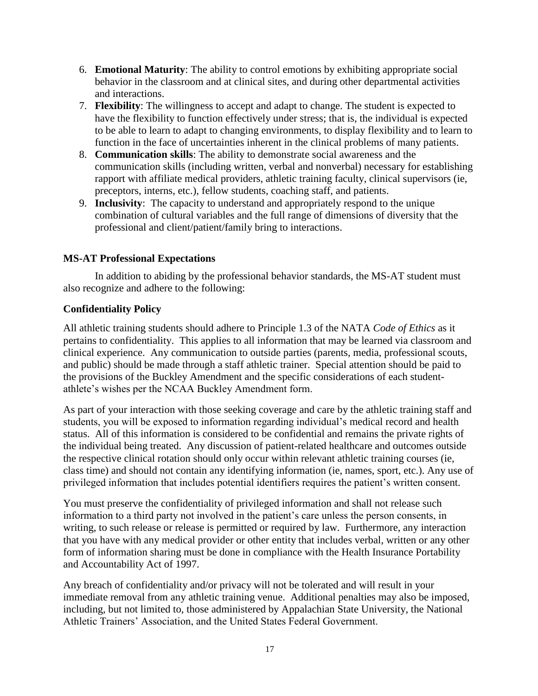- 6. **Emotional Maturity**: The ability to control emotions by exhibiting appropriate social behavior in the classroom and at clinical sites, and during other departmental activities and interactions.
- 7. **Flexibility**: The willingness to accept and adapt to change. The student is expected to have the flexibility to function effectively under stress; that is, the individual is expected to be able to learn to adapt to changing environments, to display flexibility and to learn to function in the face of uncertainties inherent in the clinical problems of many patients.
- 8. **Communication skills**: The ability to demonstrate social awareness and the communication skills (including written, verbal and nonverbal) necessary for establishing rapport with affiliate medical providers, athletic training faculty, clinical supervisors (ie, preceptors, interns, etc.), fellow students, coaching staff, and patients.
- 9. **Inclusivity**:The capacity to understand and appropriately respond to the unique combination of cultural variables and the full range of dimensions of diversity that the professional and client/patient/family bring to interactions.

#### **MS-AT Professional Expectations**

In addition to abiding by the professional behavior standards, the MS-AT student must also recognize and adhere to the following:

#### **Confidentiality Policy**

All athletic training students should adhere to Principle 1.3 of the NATA *Code of Ethics* as it pertains to confidentiality. This applies to all information that may be learned via classroom and clinical experience. Any communication to outside parties (parents, media, professional scouts, and public) should be made through a staff athletic trainer. Special attention should be paid to the provisions of the Buckley Amendment and the specific considerations of each studentathlete's wishes per the NCAA Buckley Amendment form.

As part of your interaction with those seeking coverage and care by the athletic training staff and students, you will be exposed to information regarding individual's medical record and health status. All of this information is considered to be confidential and remains the private rights of the individual being treated. Any discussion of patient-related healthcare and outcomes outside the respective clinical rotation should only occur within relevant athletic training courses (ie, class time) and should not contain any identifying information (ie, names, sport, etc.). Any use of privileged information that includes potential identifiers requires the patient's written consent.

You must preserve the confidentiality of privileged information and shall not release such information to a third party not involved in the patient's care unless the person consents, in writing, to such release or release is permitted or required by law. Furthermore, any interaction that you have with any medical provider or other entity that includes verbal, written or any other form of information sharing must be done in compliance with the Health Insurance Portability and Accountability Act of 1997.

Any breach of confidentiality and/or privacy will not be tolerated and will result in your immediate removal from any athletic training venue. Additional penalties may also be imposed, including, but not limited to, those administered by Appalachian State University, the National Athletic Trainers' Association, and the United States Federal Government.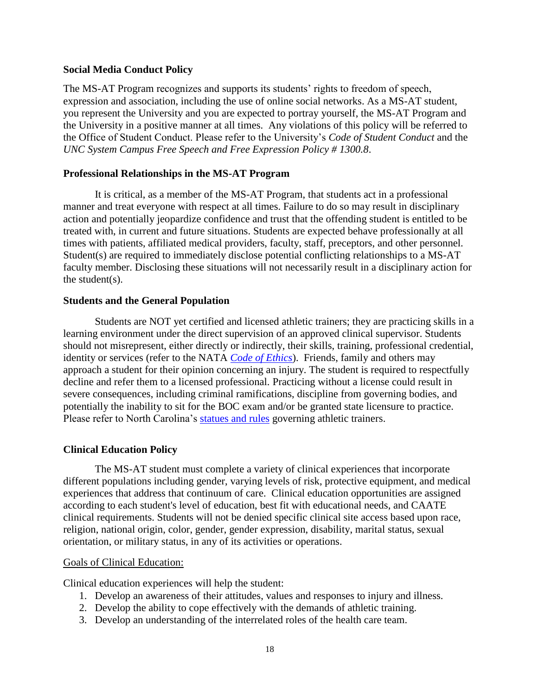#### <span id="page-17-0"></span>**Social Media Conduct Policy**

The MS-AT Program recognizes and supports its students' rights to freedom of speech, expression and association, including the use of online social networks. As a MS-AT student, you represent the University and you are expected to portray yourself, the MS-AT Program and the University in a positive manner at all times. Any violations of this policy will be referred to the Office of Student Conduct. Please refer to the University's *Code of Student Conduct* and the *UNC System Campus Free Speech and Free Expression Policy # 1300.8*.

#### **Professional Relationships in the MS-AT Program**

It is critical, as a member of the MS-AT Program, that students act in a professional manner and treat everyone with respect at all times. Failure to do so may result in disciplinary action and potentially jeopardize confidence and trust that the offending student is entitled to be treated with, in current and future situations. Students are expected behave professionally at all times with patients, affiliated medical providers, faculty, staff, preceptors, and other personnel. Student(s) are required to immediately disclose potential conflicting relationships to a MS-AT faculty member. Disclosing these situations will not necessarily result in a disciplinary action for the student(s).

#### **Students and the General Population**

Students are NOT yet certified and licensed athletic trainers; they are practicing skills in a learning environment under the direct supervision of an approved clinical supervisor. Students should not misrepresent, either directly or indirectly, their skills, training, professional credential, identity or services (refer to the NATA *[Code of Ethics](https://www.nata.org/membership/about-membership/member-resources/code-of-ethics)*). Friends, family and others may approach a student for their opinion concerning an injury. The student is required to respectfully decline and refer them to a licensed professional. Practicing without a license could result in severe consequences, including criminal ramifications, discipline from governing bodies, and potentially the inability to sit for the BOC exam and/or be granted state licensure to practice. Please refer to North Carolina's [statues and rules](http://www.ncbate.org/nc-general-statute-and-rules---regs.html) governing athletic trainers.

#### <span id="page-17-1"></span>**Clinical Education Policy**

The MS-AT student must complete a variety of clinical experiences that incorporate different populations including gender, varying levels of risk, protective equipment, and medical experiences that address that continuum of care. Clinical education opportunities are assigned according to each student's level of education, best fit with educational needs, and CAATE clinical requirements. Students will not be denied specific clinical site access based upon race, religion, national origin, color, gender, gender expression, disability, marital status, sexual orientation, or military status, in any of its activities or operations.

#### Goals of Clinical Education:

Clinical education experiences will help the student:

- 1. Develop an awareness of their attitudes, values and responses to injury and illness.
- 2. Develop the ability to cope effectively with the demands of athletic training.
- 3. Develop an understanding of the interrelated roles of the health care team.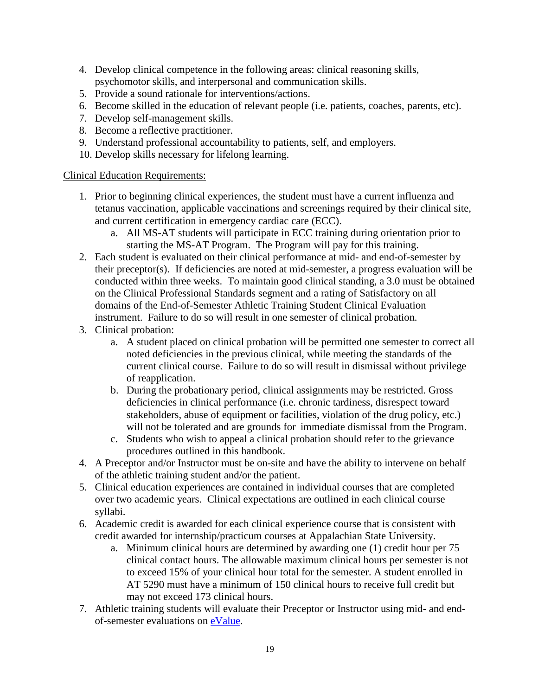- 4. Develop clinical competence in the following areas: clinical reasoning skills, psychomotor skills, and interpersonal and communication skills.
- 5. Provide a sound rationale for interventions/actions.
- 6. Become skilled in the education of relevant people (i.e. patients, coaches, parents, etc).
- 7. Develop self-management skills.
- 8. Become a reflective practitioner.
- 9. Understand professional accountability to patients, self, and employers.
- 10. Develop skills necessary for lifelong learning.

#### Clinical Education Requirements:

- 1. Prior to beginning clinical experiences, the student must have a current influenza and tetanus vaccination, applicable vaccinations and screenings required by their clinical site, and current certification in emergency cardiac care (ECC).
	- a. All MS-AT students will participate in ECC training during orientation prior to starting the MS-AT Program. The Program will pay for this training.
- 2. Each student is evaluated on their clinical performance at mid- and end-of-semester by their preceptor(s). If deficiencies are noted at mid-semester, a progress evaluation will be conducted within three weeks. To maintain good clinical standing, a 3.0 must be obtained on the Clinical Professional Standards segment and a rating of Satisfactory on all domains of the End-of-Semester Athletic Training Student Clinical Evaluation instrument. Failure to do so will result in one semester of clinical probation.
- 3. Clinical probation:
	- a. A student placed on clinical probation will be permitted one semester to correct all noted deficiencies in the previous clinical, while meeting the standards of the current clinical course. Failure to do so will result in dismissal without privilege of reapplication.
	- b. During the probationary period, clinical assignments may be restricted. Gross deficiencies in clinical performance (i.e. chronic tardiness, disrespect toward stakeholders, abuse of equipment or facilities, violation of the drug policy, etc.) will not be tolerated and are grounds for immediate dismissal from the Program.
	- c. Students who wish to appeal a clinical probation should refer to the grievance procedures outlined in this handbook.
- 4. A Preceptor and/or Instructor must be on-site and have the ability to intervene on behalf of the athletic training student and/or the patient.
- 5. Clinical education experiences are contained in individual courses that are completed over two academic years. Clinical expectations are outlined in each clinical course syllabi.
- 6. Academic credit is awarded for each clinical experience course that is consistent with credit awarded for internship/practicum courses at Appalachian State University.
	- a. Minimum clinical hours are determined by awarding one (1) credit hour per 75 clinical contact hours. The allowable maximum clinical hours per semester is not to exceed 15% of your clinical hour total for the semester. A student enrolled in AT 5290 must have a minimum of 150 clinical hours to receive full credit but may not exceed 173 clinical hours.
- 7. Athletic training students will evaluate their Preceptor or Instructor using mid- and endof-semester evaluations on [eValue.](http://www.evalue.net/)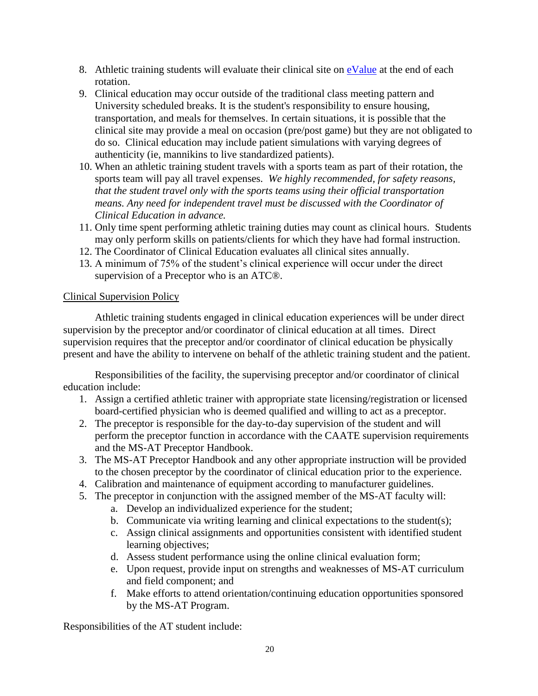- 8. Athletic training students will evaluate their clinical site on  $e$ Value at the end of each rotation.
- 9. Clinical education may occur outside of the traditional class meeting pattern and University scheduled breaks. It is the student's responsibility to ensure housing, transportation, and meals for themselves. In certain situations, it is possible that the clinical site may provide a meal on occasion (pre/post game) but they are not obligated to do so. Clinical education may include patient simulations with varying degrees of authenticity (ie, mannikins to live standardized patients).
- 10. When an athletic training student travels with a sports team as part of their rotation, the sports team will pay all travel expenses. *We highly recommended, for safety reasons, that the student travel only with the sports teams using their official transportation means. Any need for independent travel must be discussed with the Coordinator of Clinical Education in advance.*
- 11. Only time spent performing athletic training duties may count as clinical hours. Students may only perform skills on patients/clients for which they have had formal instruction.
- 12. The Coordinator of Clinical Education evaluates all clinical sites annually.
- 13. A minimum of 75% of the student's clinical experience will occur under the direct supervision of a Preceptor who is an ATC®.

#### Clinical Supervision Policy

Athletic training students engaged in clinical education experiences will be under direct supervision by the preceptor and/or coordinator of clinical education at all times. Direct supervision requires that the preceptor and/or coordinator of clinical education be physically present and have the ability to intervene on behalf of the athletic training student and the patient.

Responsibilities of the facility, the supervising preceptor and/or coordinator of clinical education include:

- 1. Assign a certified athletic trainer with appropriate state licensing/registration or licensed board-certified physician who is deemed qualified and willing to act as a preceptor.
- 2. The preceptor is responsible for the day-to-day supervision of the student and will perform the preceptor function in accordance with the CAATE supervision requirements and the MS-AT Preceptor Handbook.
- 3. The MS-AT Preceptor Handbook and any other appropriate instruction will be provided to the chosen preceptor by the coordinator of clinical education prior to the experience.
- 4. Calibration and maintenance of equipment according to manufacturer guidelines.
- 5. The preceptor in conjunction with the assigned member of the MS-AT faculty will:
	- a. Develop an individualized experience for the student;
	- b. Communicate via writing learning and clinical expectations to the student(s);
	- c. Assign clinical assignments and opportunities consistent with identified student learning objectives;
	- d. Assess student performance using the online clinical evaluation form;
	- e. Upon request, provide input on strengths and weaknesses of MS-AT curriculum and field component; and
	- f. Make efforts to attend orientation/continuing education opportunities sponsored by the MS-AT Program.

Responsibilities of the AT student include: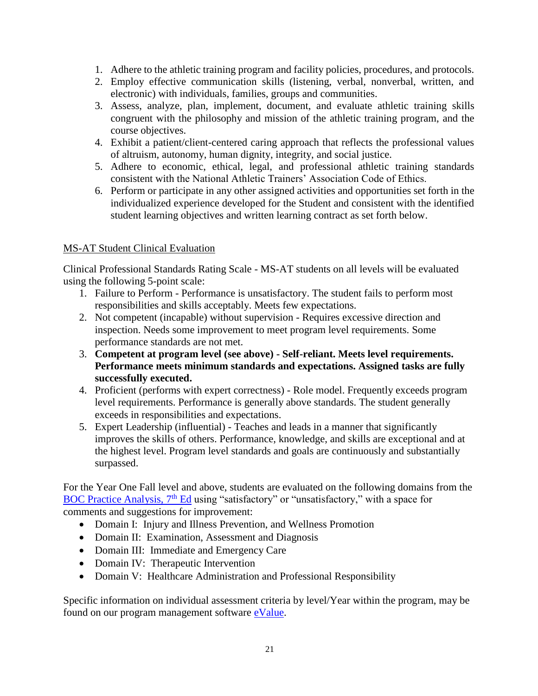- 1. Adhere to the athletic training program and facility policies, procedures, and protocols.
- 2. Employ effective communication skills (listening, verbal, nonverbal, written, and electronic) with individuals, families, groups and communities.
- 3. Assess, analyze, plan, implement, document, and evaluate athletic training skills congruent with the philosophy and mission of the athletic training program, and the course objectives.
- 4. Exhibit a patient/client-centered caring approach that reflects the professional values of altruism, autonomy, human dignity, integrity, and social justice.
- 5. Adhere to economic, ethical, legal, and professional athletic training standards consistent with the National Athletic Trainers' Association Code of Ethics.
- 6. Perform or participate in any other assigned activities and opportunities set forth in the individualized experience developed for the Student and consistent with the identified student learning objectives and written learning contract as set forth below.

#### MS-AT Student Clinical Evaluation

Clinical Professional Standards Rating Scale - MS-AT students on all levels will be evaluated using the following 5-point scale:

- 1. Failure to Perform Performance is unsatisfactory. The student fails to perform most responsibilities and skills acceptably. Meets few expectations.
- 2. Not competent (incapable) without supervision Requires excessive direction and inspection. Needs some improvement to meet program level requirements. Some performance standards are not met.
- 3. **Competent at program level (see above) - Self-reliant. Meets level requirements. Performance meets minimum standards and expectations. Assigned tasks are fully successfully executed.**
- 4. Proficient (performs with expert correctness) Role model. Frequently exceeds program level requirements. Performance is generally above standards. The student generally exceeds in responsibilities and expectations.
- 5. Expert Leadership (influential) Teaches and leads in a manner that significantly improves the skills of others. Performance, knowledge, and skills are exceptional and at the highest level. Program level standards and goals are continuously and substantially surpassed.

For the Year One Fall level and above, students are evaluated on the following domains from the [BOC Practice Analysis, 7](https://www.bocatc.org/system/document_versions/versions/24/original/boc-pa7-content-outline-20170612.pdf?1497279231)<sup>th</sup> Ed using "satisfactory" or "unsatisfactory," with a space for comments and suggestions for improvement:

- Domain I: Injury and Illness Prevention, and Wellness Promotion
- Domain II: Examination, Assessment and Diagnosis
- Domain III: Immediate and Emergency Care
- Domain IV: Therapeutic Intervention
- Domain V: Healthcare Administration and Professional Responsibility

Specific information on individual assessment criteria by level/Year within the program, may be found on our program management software [eValue.](http://www.evalue.net/)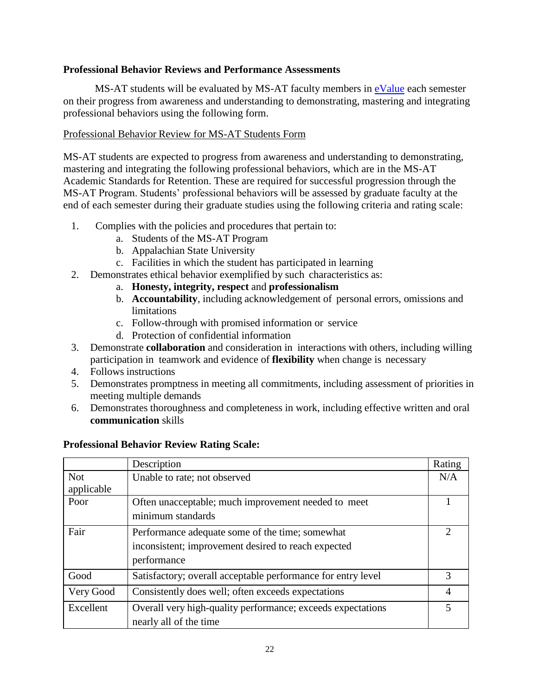#### <span id="page-21-0"></span>**Professional Behavior Reviews and Performance Assessments**

MS-AT students will be evaluated by MS-AT faculty members in [eValue](http://www.evalue.net/) each semester on their progress from awareness and understanding to demonstrating, mastering and integrating professional behaviors using the following form.

#### Professional Behavior Review for MS-AT Students Form

MS-AT students are expected to progress from awareness and understanding to demonstrating, mastering and integrating the following professional behaviors, which are in the MS-AT Academic Standards for Retention. These are required for successful progression through the MS-AT Program. Students' professional behaviors will be assessed by graduate faculty at the end of each semester during their graduate studies using the following criteria and rating scale:

- 1. Complies with the policies and procedures that pertain to:
	- a. Students of the MS-AT Program
	- b. Appalachian State University
	- c. Facilities in which the student has participated in learning
- 2. Demonstrates ethical behavior exemplified by such characteristics as:
	- a. **Honesty, integrity, respect** and **professionalism**
	- b. **Accountability**, including acknowledgement of personal errors, omissions and limitations
	- c. Follow-through with promised information or service
	- d. Protection of confidential information
- 3. Demonstrate **collaboration** and consideration in interactions with others, including willing participation in teamwork and evidence of **flexibility** when change is necessary
- 4. Follows instructions
- 5. Demonstrates promptness in meeting all commitments, including assessment of priorities in meeting multiple demands
- 6. Demonstrates thoroughness and completeness in work, including effective written and oral **communication** skills

#### **Professional Behavior Review Rating Scale:**

|                          | Description                                                                                                           | Rating |
|--------------------------|-----------------------------------------------------------------------------------------------------------------------|--------|
| <b>Not</b><br>applicable | Unable to rate; not observed                                                                                          | N/A    |
| Poor                     | Often unacceptable; much improvement needed to meet<br>minimum standards                                              |        |
| Fair                     | Performance adequate some of the time; somewhat<br>inconsistent; improvement desired to reach expected<br>performance |        |
| Good                     | Satisfactory; overall acceptable performance for entry level                                                          |        |
| Very Good                | Consistently does well; often exceeds expectations                                                                    |        |
| Excellent                | Overall very high-quality performance; exceeds expectations<br>nearly all of the time                                 |        |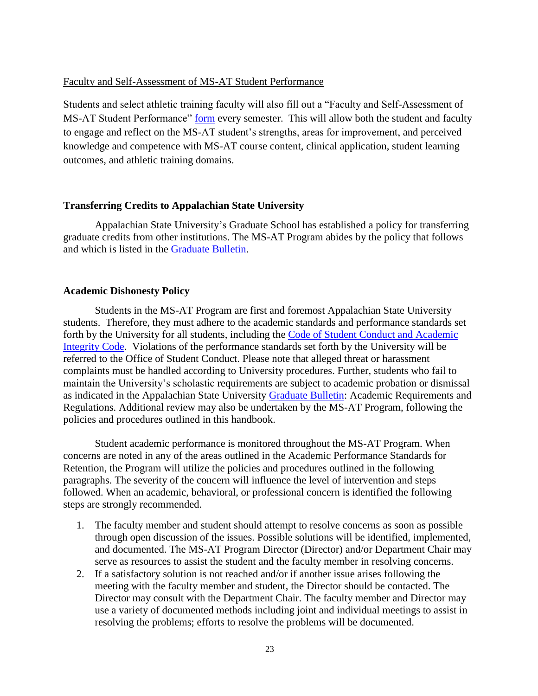#### <span id="page-22-0"></span>Faculty and Self-Assessment of MS-AT Student Performance

Students and select athletic training faculty will also fill out a "Faculty and Self-Assessment of MS-AT Student Performance" [form](https://docs.google.com/document/d/1K-vI97LgKDtRwmIKrTKSLjiJWzcUv3wpUQjp7xynXhI/edit?usp=sharing) every semester. This will allow both the student and faculty to engage and reflect on the MS-AT student's strengths, areas for improvement, and perceived knowledge and competence with MS-AT course content, clinical application, student learning outcomes, and athletic training domains.

#### **Transferring Credits to Appalachian State University**

Appalachian State University's Graduate School has established a policy for transferring graduate credits from other institutions. The MS-AT Program abides by the policy that follows and which is listed in the [Graduate Bulletin.](http://www.registrar.appstate.edu/catalogs/index.html)

#### <span id="page-22-1"></span>**Academic Dishonesty Policy**

Students in the MS-AT Program are first and foremost Appalachian State University students. Therefore, they must adhere to the academic standards and performance standards set forth by the University for all students, including the Code of Student [Conduct and Academic](http://studentconduct.appstate.edu/)  [Integrity Code.](http://studentconduct.appstate.edu/) Violations of the performance standards set forth by the University will be referred to the Office of Student Conduct. Please note that alleged threat or harassment complaints must be handled according to University procedures. Further, students who fail to maintain the University's scholastic requirements are subject to academic probation or dismissal as indicated in the Appalachian State University [Graduate Bulletin:](http://bulletin.appstate.edu/) Academic Requirements and Regulations. Additional review may also be undertaken by the MS-AT Program, following the policies and procedures outlined in this handbook.

Student academic performance is monitored throughout the MS-AT Program. When concerns are noted in any of the areas outlined in the Academic Performance Standards for Retention, the Program will utilize the policies and procedures outlined in the following paragraphs. The severity of the concern will influence the level of intervention and steps followed. When an academic, behavioral, or professional concern is identified the following steps are strongly recommended.

- 1. The faculty member and student should attempt to resolve concerns as soon as possible through open discussion of the issues. Possible solutions will be identified, implemented, and documented. The MS-AT Program Director (Director) and/or Department Chair may serve as resources to assist the student and the faculty member in resolving concerns.
- 2. If a satisfactory solution is not reached and/or if another issue arises following the meeting with the faculty member and student, the Director should be contacted. The Director may consult with the Department Chair. The faculty member and Director may use a variety of documented methods including joint and individual meetings to assist in resolving the problems; efforts to resolve the problems will be documented.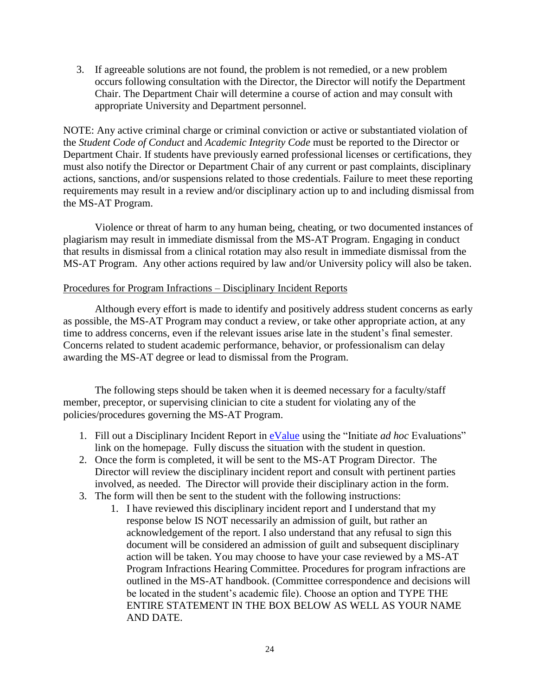3. If agreeable solutions are not found, the problem is not remedied, or a new problem occurs following consultation with the Director, the Director will notify the Department Chair. The Department Chair will determine a course of action and may consult with appropriate University and Department personnel.

NOTE: Any active criminal charge or criminal conviction or active or substantiated violation of the *Student Code of Conduct* and *Academic Integrity Code* must be reported to the Director or Department Chair. If students have previously earned professional licenses or certifications, they must also notify the Director or Department Chair of any current or past complaints, disciplinary actions, sanctions, and/or suspensions related to those credentials. Failure to meet these reporting requirements may result in a review and/or disciplinary action up to and including dismissal from the MS-AT Program.

Violence or threat of harm to any human being, cheating, or two documented instances of plagiarism may result in immediate dismissal from the MS-AT Program. Engaging in conduct that results in dismissal from a clinical rotation may also result in immediate dismissal from the MS-AT Program. Any other actions required by law and/or University policy will also be taken.

#### Procedures for Program Infractions – Disciplinary Incident Reports

Although every effort is made to identify and positively address student concerns as early as possible, the MS-AT Program may conduct a review, or take other appropriate action, at any time to address concerns, even if the relevant issues arise late in the student's final semester. Concerns related to student academic performance, behavior, or professionalism can delay awarding the MS-AT degree or lead to dismissal from the Program.

The following steps should be taken when it is deemed necessary for a faculty/staff member, preceptor, or supervising clinician to cite a student for violating any of the policies/procedures governing the MS-AT Program.

- 1. Fill out a Disciplinary Incident Report in [eValue](http://www.evalue.net/) using the "Initiate *ad hoc* Evaluations" link on the homepage. Fully discuss the situation with the student in question.
- 2. Once the form is completed, it will be sent to the MS-AT Program Director. The Director will review the disciplinary incident report and consult with pertinent parties involved, as needed. The Director will provide their disciplinary action in the form.
- 3. The form will then be sent to the student with the following instructions:
	- 1. I have reviewed this disciplinary incident report and I understand that my response below IS NOT necessarily an admission of guilt, but rather an acknowledgement of the report. I also understand that any refusal to sign this document will be considered an admission of guilt and subsequent disciplinary action will be taken. You may choose to have your case reviewed by a MS-AT Program Infractions Hearing Committee. Procedures for program infractions are outlined in the MS-AT handbook. (Committee correspondence and decisions will be located in the student's academic file). Choose an option and TYPE THE ENTIRE STATEMENT IN THE BOX BELOW AS WELL AS YOUR NAME AND DATE.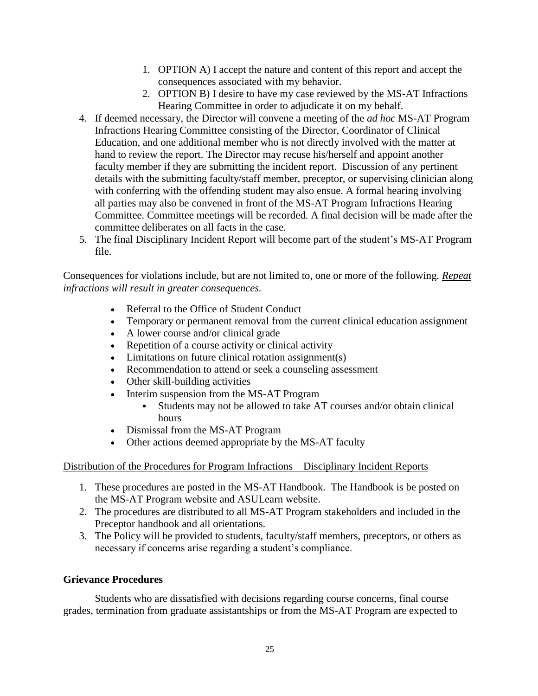- 1. OPTION A) I accept the nature and content of this report and accept the consequences associated with my behavior.
- 2. OPTION B) I desire to have my case reviewed by the MS-AT Infractions Hearing Committee in order to adjudicate it on my behalf.
- 4. If deemed necessary, the Director will convene a meeting of the *ad hoc* MS-AT Program Infractions Hearing Committee consisting of the Director, Coordinator of Clinical Education, and one additional member who is not directly involved with the matter at hand to review the report. The Director may recuse his/herself and appoint another faculty member if they are submitting the incident report. Discussion of any pertinent details with the submitting faculty/staff member, preceptor, or supervising clinician along with conferring with the offending student may also ensue. A formal hearing involving all parties may also be convened in front of the MS-AT Program Infractions Hearing Committee. Committee meetings will be recorded. A final decision will be made after the committee deliberates on all facts in the case.
- 5. The final Disciplinary Incident Report will become part of the student's MS-AT Program file.

Consequences for violations include, but are not limited to, one or more of the following. *Repeat infractions will result in greater consequences.*

- Referral to the Office of Student Conduct
- Temporary or permanent removal from the current clinical education assignment
- A lower course and/or clinical grade
- Repetition of a course activity or clinical activity
- Limitations on future clinical rotation assignment(s)
- Recommendation to attend or seek a counseling assessment
- Other skill-building activities
- Interim suspension from the MS-AT Program
	- Students may not be allowed to take AT courses and/or obtain clinical hours
- Dismissal from the MS-AT Program
- Other actions deemed appropriate by the MS-AT faculty

#### Distribution of the Procedures for Program Infractions – Disciplinary Incident Reports

- 1. These procedures are posted in the MS-AT Handbook. The Handbook is be posted on the MS-AT Program website and ASULearn website.
- 2. The procedures are distributed to all MS-AT Program stakeholders and included in the Preceptor handbook and all orientations.
- 3. The Policy will be provided to students, faculty/staff members, preceptors, or others as necessary if concerns arise regarding a student's compliance.

#### <span id="page-24-0"></span>**Grievance Procedures**

Students who are dissatisfied with decisions regarding course concerns, final course grades, termination from graduate assistantships or from the MS-AT Program are expected to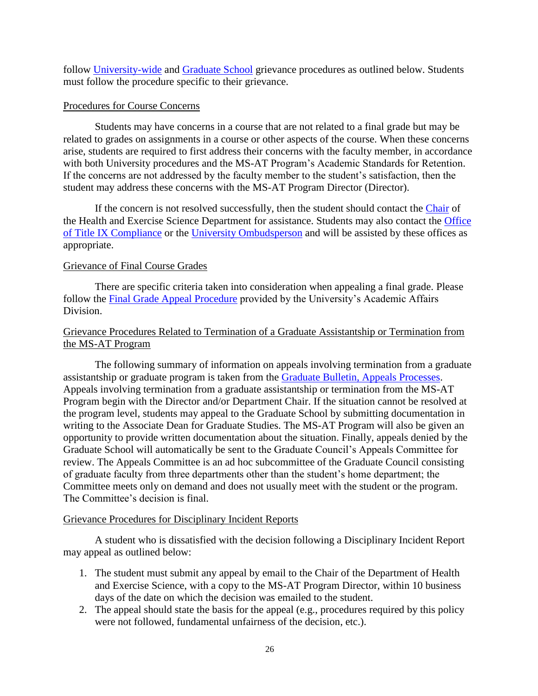follow [University-wide](https://academicaffairs.appstate.edu/resources/student-grievance-and-appeal-policies-and-procedures) and [Graduate School](https://graduate.appstate.edu/enrolled-students/frequently-asked-questions/getting-help-concerns-or-complaints) grievance procedures as outlined below. Students must follow the procedure specific to their grievance.

#### Procedures for Course Concerns

Students may have concerns in a course that are not related to a final grade but may be related to grades on assignments in a course or other aspects of the course. When these concerns arise, students are required to first address their concerns with the faculty member, in accordance with both University procedures and the MS-AT Program's Academic Standards for Retention. If the concerns are not addressed by the faculty member to the student's satisfaction, then the student may address these concerns with the MS-AT Program Director (Director).

If the concern is not resolved successfully, then the student should contact the [Chair](https://hes.appstate.edu/) of the Health and Exercise Science Department for assistance. Students may also contact the Office [of Title IX Compliance](https://titleix.appstate.edu/) or the [University Ombudsperson](http://ombuds.appstate.edu/) and will be assisted by these offices as appropriate.

#### Grievance of Final Course Grades

There are specific criteria taken into consideration when appealing a final grade. Please follow the [Final Grade Appeal Procedure](https://academicaffairs.appstate.edu/resources/final-grade-appeal-procedure) provided by the University's Academic Affairs Division.

#### Grievance Procedures Related to Termination of a Graduate Assistantship or Termination from the MS-AT Program

The following summary of information on appeals involving termination from a graduate assistantship or graduate program is taken from the [Graduate Bulletin, Appeals Processes.](http://bulletin.appstate.edu/) Appeals involving termination from a graduate assistantship or termination from the MS-AT Program begin with the Director and/or Department Chair. If the situation cannot be resolved at the program level, students may appeal to the Graduate School by submitting documentation in writing to the Associate Dean for Graduate Studies. The MS-AT Program will also be given an opportunity to provide written documentation about the situation. Finally, appeals denied by the Graduate School will automatically be sent to the Graduate Council's Appeals Committee for review. The Appeals Committee is an ad hoc subcommittee of the Graduate Council consisting of graduate faculty from three departments other than the student's home department; the Committee meets only on demand and does not usually meet with the student or the program. The Committee's decision is final.

#### Grievance Procedures for Disciplinary Incident Reports

A student who is dissatisfied with the decision following a Disciplinary Incident Report may appeal as outlined below:

- 1. The student must submit any appeal by email to the Chair of the Department of Health and Exercise Science, with a copy to the MS-AT Program Director, within 10 business days of the date on which the decision was emailed to the student.
- 2. The appeal should state the basis for the appeal (e.g., procedures required by this policy were not followed, fundamental unfairness of the decision, etc.).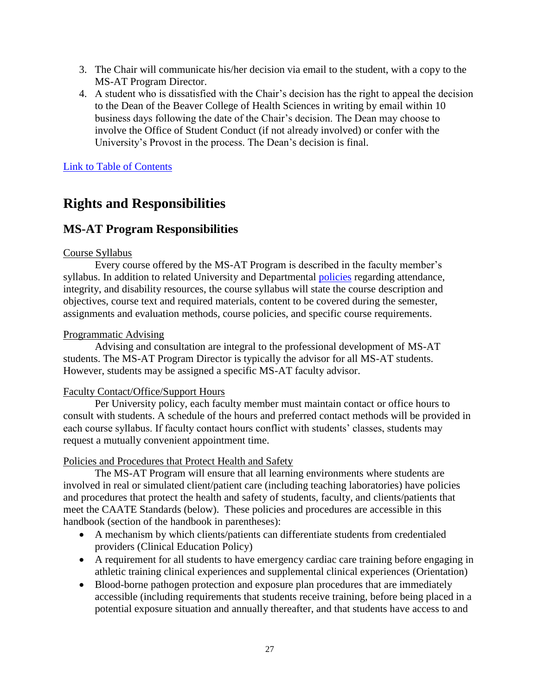- 3. The Chair will communicate his/her decision via email to the student, with a copy to the MS-AT Program Director.
- 4. A student who is dissatisfied with the Chair's decision has the right to appeal the decision to the Dean of the Beaver College of Health Sciences in writing by email within 10 business days following the date of the Chair's decision. The Dean may choose to involve the Office of Student Conduct (if not already involved) or confer with the University's Provost in the process. The Dean's decision is final.

[Link to Table of Contents](#page-1-1)

## <span id="page-26-0"></span>**Rights and Responsibilities**

#### <span id="page-26-1"></span>**MS-AT Program Responsibilities**

#### Course Syllabus

Every course offered by the MS-AT Program is described in the faculty member's syllabus. In addition to related University and Departmental [policies](https://academicaffairs.appstate.edu/resources/syllabi-policy-and-statement-information) regarding attendance, integrity, and disability resources, the course syllabus will state the course description and objectives, course text and required materials, content to be covered during the semester, assignments and evaluation methods, course policies, and specific course requirements.

#### Programmatic Advising

Advising and consultation are integral to the professional development of MS-AT students. The MS-AT Program Director is typically the advisor for all MS-AT students. However, students may be assigned a specific MS-AT faculty advisor.

#### Faculty Contact/Office/Support Hours

Per University policy, each faculty member must maintain contact or office hours to consult with students. A schedule of the hours and preferred contact methods will be provided in each course syllabus. If faculty contact hours conflict with students' classes, students may request a mutually convenient appointment time.

#### Policies and Procedures that Protect Health and Safety

The MS-AT Program will ensure that all learning environments where students are involved in real or simulated client/patient care (including teaching laboratories) have policies and procedures that protect the health and safety of students, faculty, and clients/patients that meet the CAATE Standards (below). These policies and procedures are accessible in this handbook (section of the handbook in parentheses):

- A mechanism by which clients/patients can differentiate students from credentialed providers (Clinical Education Policy)
- A requirement for all students to have emergency cardiac care training before engaging in athletic training clinical experiences and supplemental clinical experiences (Orientation)
- Blood-borne pathogen protection and exposure plan procedures that are immediately accessible (including requirements that students receive training, before being placed in a potential exposure situation and annually thereafter, and that students have access to and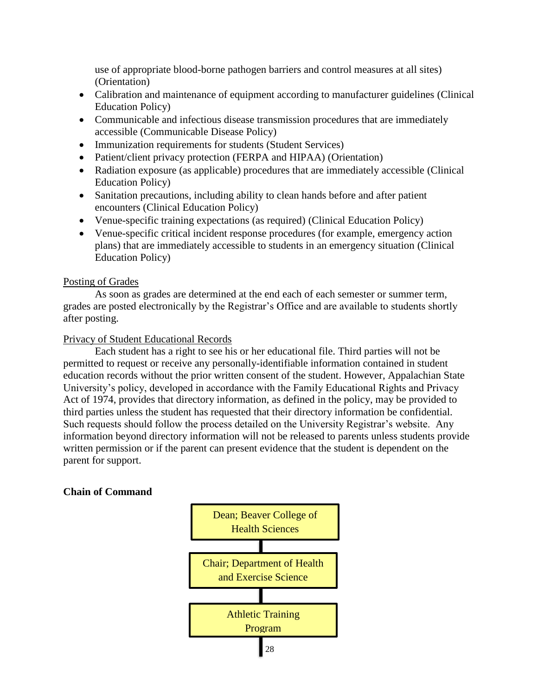use of appropriate blood-borne pathogen barriers and control measures at all sites) (Orientation)

- Calibration and maintenance of equipment according to manufacturer guidelines (Clinical Education Policy)
- Communicable and infectious disease transmission procedures that are immediately accessible (Communicable Disease Policy)
- Immunization requirements for students (Student Services)
- Patient/client privacy protection (FERPA and HIPAA) (Orientation)
- Radiation exposure (as applicable) procedures that are immediately accessible (Clinical Education Policy)
- Sanitation precautions, including ability to clean hands before and after patient encounters (Clinical Education Policy)
- Venue-specific training expectations (as required) (Clinical Education Policy)
- Venue-specific critical incident response procedures (for example, emergency action plans) that are immediately accessible to students in an emergency situation (Clinical Education Policy)

#### Posting of Grades

As soon as grades are determined at the end each of each semester or summer term, grades are posted electronically by the Registrar's Office and are available to students shortly after posting.

#### Privacy of Student Educational Records

Each student has a right to see his or her educational file. Third parties will not be permitted to request or receive any personally-identifiable information contained in student education records without the prior written consent of the student. However, Appalachian State University's policy, developed in accordance with the Family Educational Rights and Privacy Act of 1974, provides that directory information, as defined in the policy, may be provided to third parties unless the student has requested that their directory information be confidential. Such requests should follow the process detailed on the University Registrar's website. Any information beyond directory information will not be released to parents unless students provide written permission or if the parent can present evidence that the student is dependent on the parent for support.

#### <span id="page-27-0"></span>**Chain of Command**

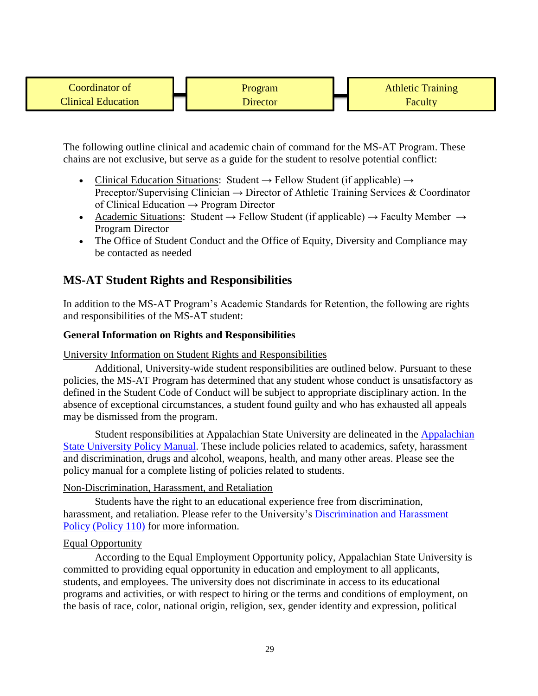| $\Gamma$ oordinator of $\Gamma$ | <b>Program</b> | <b>Athletic Training</b> |
|---------------------------------|----------------|--------------------------|
| Clinical Education              | Director       | Faculty                  |

The following outline clinical and academic chain of command for the MS-AT Program. These chains are not exclusive, but serve as a guide for the student to resolve potential conflict:

- Clinical Education Situations: Student  $\rightarrow$  Fellow Student (if applicable)  $\rightarrow$ Preceptor/Supervising Clinician  $\rightarrow$  Director of Athletic Training Services & Coordinator of Clinical Education  $\rightarrow$  Program Director
- Academic Situations: Student  $\rightarrow$  Fellow Student (if applicable)  $\rightarrow$  Faculty Member  $\rightarrow$ Program Director
- The Office of Student Conduct and the Office of Equity, Diversity and Compliance may be contacted as needed

#### <span id="page-28-0"></span>**MS-AT Student Rights and Responsibilities**

In addition to the MS-AT Program's Academic Standards for Retention, the following are rights and responsibilities of the MS-AT student:

#### <span id="page-28-1"></span>**General Information on Rights and Responsibilities**

#### University Information on Student Rights and Responsibilities

Additional, University-wide student responsibilities are outlined below. Pursuant to these policies, the MS-AT Program has determined that any student whose conduct is unsatisfactory as defined in the Student Code of Conduct will be subject to appropriate disciplinary action. In the absence of exceptional circumstances, a student found guilty and who has exhausted all appeals may be dismissed from the program.

Student responsibilities at [Appalachian](http://policy.appstate.edu/Policy_Manual) State University are delineated in the Appalachian [State University Policy Manual.](http://policy.appstate.edu/Policy_Manual) These include policies related to academics, safety, harassment and discrimination, drugs and alcohol, weapons, health, and many other areas. Please see the policy manual for a complete listing of policies related to students.

#### Non-Discrimination, Harassment, and Retaliation

Students have the right to an educational experience free from discrimination, harassment, and retaliation. Please refer to the University's [Discrimination and Harassment](https://policy.appstate.edu/Discrimination_and_Harassment)  [Policy \(Policy 110\)](https://policy.appstate.edu/Discrimination_and_Harassment) for more information.

#### Equal Opportunity

According to the Equal Employment Opportunity policy, Appalachian State University is committed to providing equal opportunity in education and employment to all applicants, students, and employees. The university does not discriminate in access to its educational programs and activities, or with respect to hiring or the terms and conditions of employment, on the basis of race, color, national origin, religion, sex, gender identity and expression, political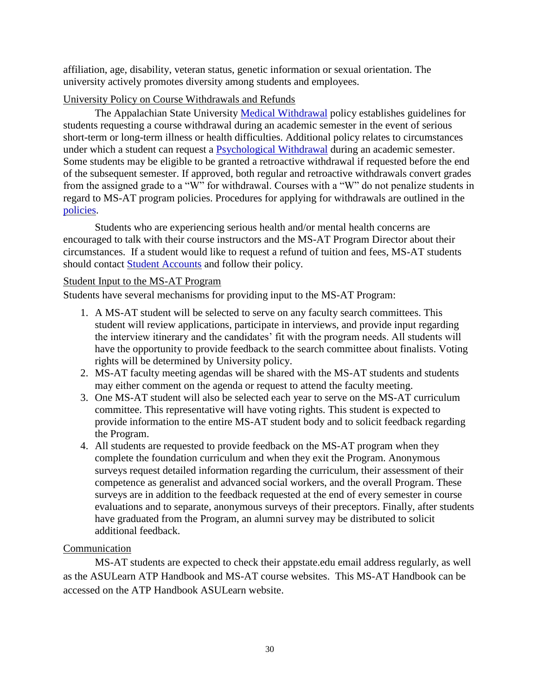affiliation, age, disability, veteran status, genetic information or sexual orientation. The university actively promotes diversity among students and employees.

#### University Policy on Course Withdrawals and Refunds

The Appalachian State University [Medical Withdrawal](https://policy.appstate.edu/Medical_Withdrawals) policy establishes guidelines for students requesting a course withdrawal during an academic semester in the event of serious short-term or long-term illness or health difficulties. Additional policy relates to circumstances under which a student can request a **Psychological Withdrawal** during an academic semester. Some students may be eligible to be granted a retroactive withdrawal if requested before the end of the subsequent semester. If approved, both regular and retroactive withdrawals convert grades from the assigned grade to a "W" for withdrawal. Courses with a "W" do not penalize students in regard to MS-AT program policies. Procedures for applying for withdrawals are outlined in the [policies.](https://registrar.appstate.edu/resources/policies/academic-policies/withdrawal-policy)

Students who are experiencing serious health and/or mental health concerns are encouraged to talk with their course instructors and the MS-AT Program Director about their circumstances. If a student would like to request a refund of tuition and fees, MS-AT students should contact [Student Accounts](https://studentaccounts.appstate.edu/refunds) and follow their policy.

#### Student Input to the MS-AT Program

Students have several mechanisms for providing input to the MS-AT Program:

- 1. A MS-AT student will be selected to serve on any faculty search committees. This student will review applications, participate in interviews, and provide input regarding the interview itinerary and the candidates' fit with the program needs. All students will have the opportunity to provide feedback to the search committee about finalists. Voting rights will be determined by University policy.
- 2. MS-AT faculty meeting agendas will be shared with the MS-AT students and students may either comment on the agenda or request to attend the faculty meeting.
- 3. One MS-AT student will also be selected each year to serve on the MS-AT curriculum committee. This representative will have voting rights. This student is expected to provide information to the entire MS-AT student body and to solicit feedback regarding the Program.
- 4. All students are requested to provide feedback on the MS-AT program when they complete the foundation curriculum and when they exit the Program. Anonymous surveys request detailed information regarding the curriculum, their assessment of their competence as generalist and advanced social workers, and the overall Program. These surveys are in addition to the feedback requested at the end of every semester in course evaluations and to separate, anonymous surveys of their preceptors. Finally, after students have graduated from the Program, an alumni survey may be distributed to solicit additional feedback.

#### Communication

MS-AT students are expected to check their appstate.edu email address regularly, as well as the ASULearn ATP Handbook and MS-AT course websites. This MS-AT Handbook can be accessed on the ATP Handbook ASULearn website.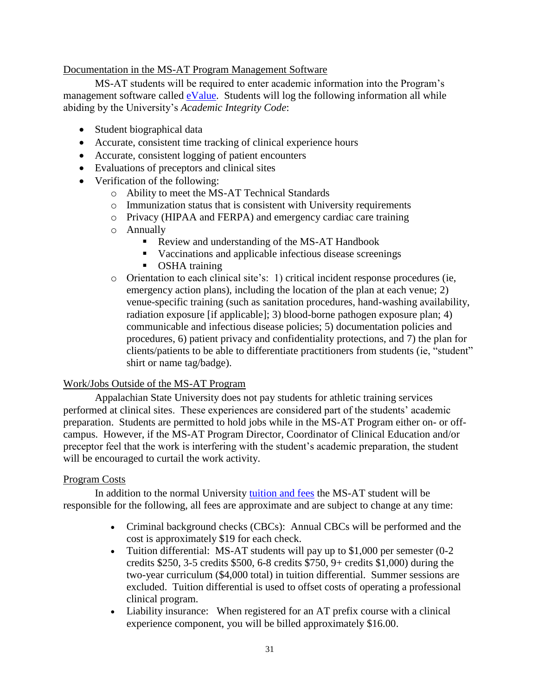#### Documentation in the MS-AT Program Management Software

MS-AT students will be required to enter academic information into the Program's management software called [eValue.](http://www.evalue.net/) Students will log the following information all while abiding by the University's *Academic Integrity Code*:

- Student biographical data
- Accurate, consistent time tracking of clinical experience hours
- Accurate, consistent logging of patient encounters
- Evaluations of preceptors and clinical sites
- Verification of the following:
	- o Ability to meet the MS-AT Technical Standards
	- o Immunization status that is consistent with University requirements
	- o Privacy (HIPAA and FERPA) and emergency cardiac care training
	- o Annually
		- Review and understanding of the MS-AT Handbook
		- Vaccinations and applicable infectious disease screenings
		- OSHA training
	- o Orientation to each clinical site's: 1) critical incident response procedures (ie, emergency action plans), including the location of the plan at each venue; 2) venue-specific training (such as sanitation procedures, hand-washing availability, radiation exposure [if applicable]; 3) blood-borne pathogen exposure plan; 4) communicable and infectious disease policies; 5) documentation policies and procedures, 6) patient privacy and confidentiality protections, and 7) the plan for clients/patients to be able to differentiate practitioners from students (ie, "student" shirt or name tag/badge).

#### Work/Jobs Outside of the MS-AT Program

Appalachian State University does not pay students for athletic training services performed at clinical sites. These experiences are considered part of the students' academic preparation. Students are permitted to hold jobs while in the MS-AT Program either on- or offcampus. However, if the MS-AT Program Director, Coordinator of Clinical Education and/or preceptor feel that the work is interfering with the student's academic preparation, the student will be encouraged to curtail the work activity.

#### Program Costs

In addition to the normal University [tuition and fees](https://studentaccounts.appstate.edu/tuition-fees) the MS-AT student will be responsible for the following, all fees are approximate and are subject to change at any time:

- Criminal background checks (CBCs): Annual CBCs will be performed and the cost is approximately \$19 for each check.
- Tuition differential: MS-AT students will pay up to \$1,000 per semester (0-2) credits \$250, 3-5 credits \$500, 6-8 credits \$750, 9+ credits \$1,000) during the two-year curriculum (\$4,000 total) in tuition differential. Summer sessions are excluded. Tuition differential is used to offset costs of operating a professional clinical program.
- Liability insurance: When registered for an AT prefix course with a clinical experience component, you will be billed approximately \$16.00.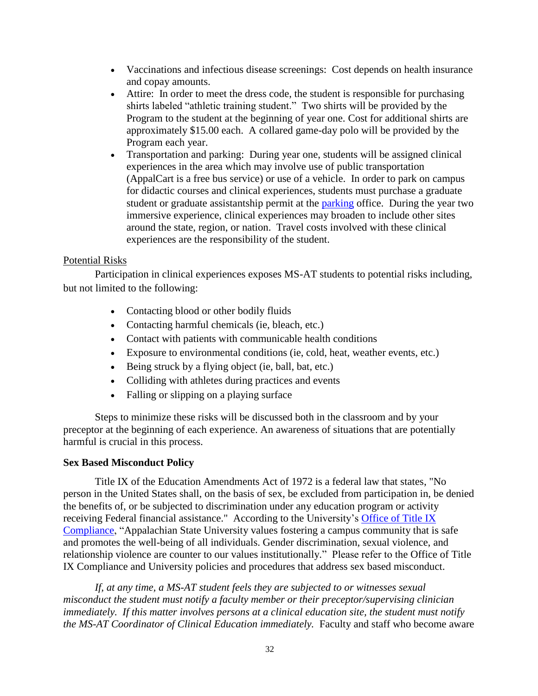- Vaccinations and infectious disease screenings: Cost depends on health insurance and copay amounts.
- Attire: In order to meet the dress code, the student is responsible for purchasing shirts labeled "athletic training student." Two shirts will be provided by the Program to the student at the beginning of year one. Cost for additional shirts are approximately \$15.00 each. A collared game-day polo will be provided by the Program each year.
- Transportation and parking: During year one, students will be assigned clinical experiences in the area which may involve use of public transportation (AppalCart is a free bus service) or use of a vehicle. In order to park on campus for didactic courses and clinical experiences, students must purchase a graduate student or graduate assistantship permit at the [parking](https://parking.appstate.edu/) office. During the year two immersive experience, clinical experiences may broaden to include other sites around the state, region, or nation. Travel costs involved with these clinical experiences are the responsibility of the student.

#### <span id="page-31-0"></span>Potential Risks

Participation in clinical experiences exposes MS-AT students to potential risks including, but not limited to the following:

- Contacting blood or other bodily fluids
- Contacting harmful chemicals (ie, bleach, etc.)
- Contact with patients with communicable health conditions
- Exposure to environmental conditions (ie, cold, heat, weather events, etc.)
- Being struck by a flying object (ie, ball, bat, etc.)
- Colliding with athletes during practices and events
- Falling or slipping on a playing surface

Steps to minimize these risks will be discussed both in the classroom and by your preceptor at the beginning of each experience. An awareness of situations that are potentially harmful is crucial in this process.

#### <span id="page-31-1"></span>**Sex Based Misconduct Policy**

Title IX of the Education Amendments Act of 1972 is a federal law that states, "No person in the United States shall, on the basis of sex, be excluded from participation in, be denied the benefits of, or be subjected to discrimination under any education program or activity receiving Federal financial assistance." According to the University's [Office of Title IX](https://titleix.appstate.edu/)  [Compliance,](https://titleix.appstate.edu/) "Appalachian State University values fostering a campus community that is safe and promotes the well-being of all individuals. Gender discrimination, sexual violence, and relationship violence are counter to our values institutionally." Please refer to the Office of Title IX Compliance and University policies and procedures that address sex based misconduct.

*If, at any time, a MS-AT student feels they are subjected to or witnesses sexual misconduct the student must notify a faculty member or their preceptor/supervising clinician immediately. If this matter involves persons at a clinical education site, the student must notify the MS-AT Coordinator of Clinical Education immediately.* Faculty and staff who become aware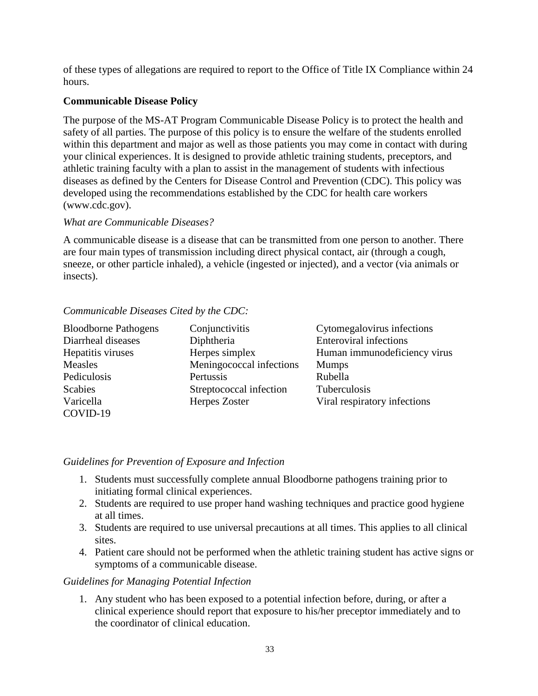of these types of allegations are required to report to the Office of Title IX Compliance within 24 hours.

#### <span id="page-32-0"></span>**Communicable Disease Policy**

The purpose of the MS-AT Program Communicable Disease Policy is to protect the health and safety of all parties. The purpose of this policy is to ensure the welfare of the students enrolled within this department and major as well as those patients you may come in contact with during your clinical experiences. It is designed to provide athletic training students, preceptors, and athletic training faculty with a plan to assist in the management of students with infectious diseases as defined by the Centers for Disease Control and Prevention (CDC). This policy was developed using the recommendations established by the CDC for health care workers (www.cdc.gov).

#### *What are Communicable Diseases?*

A communicable disease is a disease that can be transmitted from one person to another. There are four main types of transmission including direct physical contact, air (through a cough, sneeze, or other particle inhaled), a vehicle (ingested or injected), and a vector (via animals or insects).

#### *Communicable Diseases Cited by the CDC:*

| <b>Bloodborne Pathogens</b> | Conjunctivitis           | Cytomegalovirus infections    |
|-----------------------------|--------------------------|-------------------------------|
| Diarrheal diseases          | Diphtheria               | <b>Enteroviral infections</b> |
| Hepatitis viruses           | Herpes simplex           | Human immunodeficiency virus  |
| Measles                     | Meningococcal infections | <b>Mumps</b>                  |
| Pediculosis                 | Pertussis                | Rubella                       |
| <b>Scabies</b>              | Streptococcal infection  | Tuberculosis                  |
| Varicella                   | Herpes Zoster            | Viral respiratory infections  |
| COVID-19                    |                          |                               |

#### *Guidelines for Prevention of Exposure and Infection*

- 1. Students must successfully complete annual Bloodborne pathogens training prior to initiating formal clinical experiences.
- 2. Students are required to use proper hand washing techniques and practice good hygiene at all times.
- 3. Students are required to use universal precautions at all times. This applies to all clinical sites.
- 4. Patient care should not be performed when the athletic training student has active signs or symptoms of a communicable disease.

#### *Guidelines for Managing Potential Infection*

1. Any student who has been exposed to a potential infection before, during, or after a clinical experience should report that exposure to his/her preceptor immediately and to the coordinator of clinical education.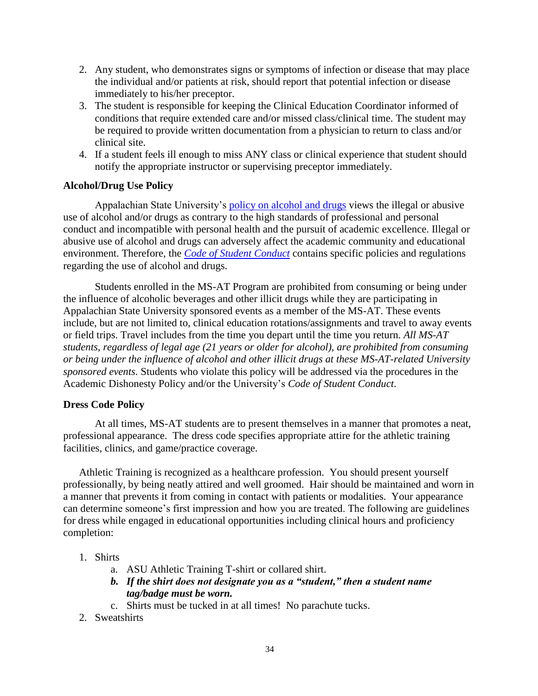- 2. Any student, who demonstrates signs or symptoms of infection or disease that may place the individual and/or patients at risk, should report that potential infection or disease immediately to his/her preceptor.
- 3. The student is responsible for keeping the Clinical Education Coordinator informed of conditions that require extended care and/or missed class/clinical time. The student may be required to provide written documentation from a physician to return to class and/or clinical site.
- 4. If a student feels ill enough to miss ANY class or clinical experience that student should notify the appropriate instructor or supervising preceptor immediately.

#### <span id="page-33-0"></span>**Alcohol/Drug Use Policy**

Appalachian State University's [policy on alcohol and drugs](http://policy.appstate.edu/Drugs_and_Alcohol) views the illegal or abusive use of alcohol and/or drugs as contrary to the high standards of professional and personal conduct and incompatible with personal health and the pursuit of academic excellence. Illegal or abusive use of alcohol and drugs can adversely affect the academic community and educational environment. Therefore, the *[Code of Student Conduct](https://studentconduct.appstate.edu/)* contains specific policies and regulations regarding the use of alcohol and drugs.

Students enrolled in the MS-AT Program are prohibited from consuming or being under the influence of alcoholic beverages and other illicit drugs while they are participating in Appalachian State University sponsored events as a member of the MS-AT. These events include, but are not limited to, clinical education rotations/assignments and travel to away events or field trips. Travel includes from the time you depart until the time you return. *All MS-AT students, regardless of legal age (21 years or older for alcohol), are prohibited from consuming or being under the influence of alcohol and other illicit drugs at these MS-AT-related University sponsored events.* Students who violate this policy will be addressed via the procedures in the Academic Dishonesty Policy and/or the University's *Code of Student Conduct*.

#### <span id="page-33-1"></span>**Dress Code Policy**

At all times, MS-AT students are to present themselves in a manner that promotes a neat, professional appearance. The dress code specifies appropriate attire for the athletic training facilities, clinics, and game/practice coverage.

Athletic Training is recognized as a healthcare profession. You should present yourself professionally, by being neatly attired and well groomed. Hair should be maintained and worn in a manner that prevents it from coming in contact with patients or modalities. Your appearance can determine someone's first impression and how you are treated. The following are guidelines for dress while engaged in educational opportunities including clinical hours and proficiency completion:

#### 1. Shirts

- a. ASU Athletic Training T-shirt or collared shirt.
- *b. If the shirt does not designate you as a "student," then a student name tag/badge must be worn.*
- c. Shirts must be tucked in at all times! No parachute tucks.
- 2. Sweatshirts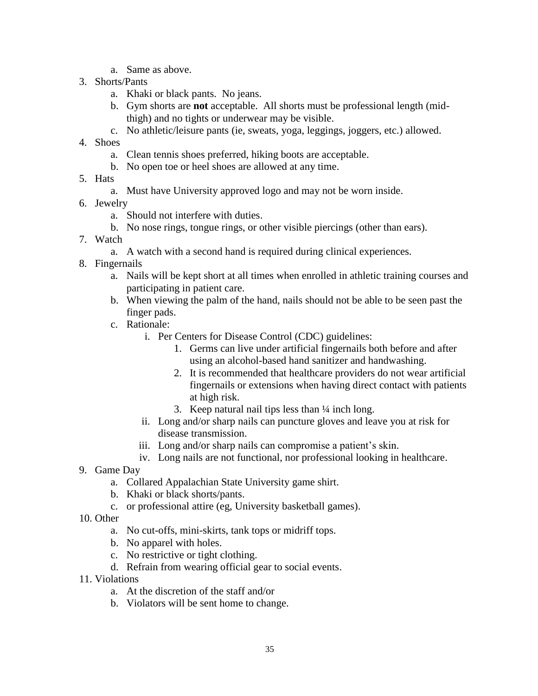- a. Same as above.
- 3. Shorts/Pants
	- a. Khaki or black pants. No jeans.
	- b. Gym shorts are **not** acceptable. All shorts must be professional length (midthigh) and no tights or underwear may be visible.
	- c. No athletic/leisure pants (ie, sweats, yoga, leggings, joggers, etc.) allowed.
- 4. Shoes
	- a. Clean tennis shoes preferred, hiking boots are acceptable.
	- b. No open toe or heel shoes are allowed at any time.
- 5. Hats
	- a. Must have University approved logo and may not be worn inside.
- 6. Jewelry
	- a. Should not interfere with duties.
	- b. No nose rings, tongue rings, or other visible piercings (other than ears).
- 7. Watch
	- a. A watch with a second hand is required during clinical experiences.
- 8. Fingernails
	- a. Nails will be kept short at all times when enrolled in athletic training courses and participating in patient care.
	- b. When viewing the palm of the hand, nails should not be able to be seen past the finger pads.
	- c. Rationale:
		- i. Per Centers for Disease Control (CDC) guidelines:
			- 1. Germs can live under artificial fingernails both before and after using an alcohol-based hand sanitizer and handwashing.
			- 2. It is recommended that healthcare providers do not wear artificial fingernails or extensions when having direct contact with patients at high risk.
			- 3. Keep natural nail tips less than  $\frac{1}{4}$  inch long.
		- ii. Long and/or sharp nails can puncture gloves and leave you at risk for disease transmission.
		- iii. Long and/or sharp nails can compromise a patient's skin.
		- iv. Long nails are not functional, nor professional looking in healthcare.
- 9. Game Day
	- a. Collared Appalachian State University game shirt.
	- b. Khaki or black shorts/pants.
	- c. or professional attire (eg, University basketball games).
- 10. Other
	- a. No cut-offs, mini-skirts, tank tops or midriff tops.
	- b. No apparel with holes.
	- c. No restrictive or tight clothing.
	- d. Refrain from wearing official gear to social events.
- 11. Violations
	- a. At the discretion of the staff and/or
	- b. Violators will be sent home to change.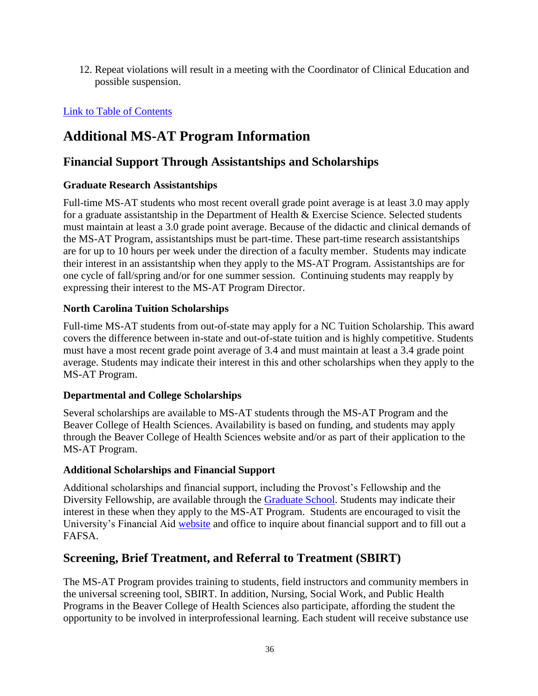12. Repeat violations will result in a meeting with the Coordinator of Clinical Education and possible suspension.

#### [Link to Table of Contents](#page-1-1)

## <span id="page-35-0"></span>**Additional MS-AT Program Information**

#### **Financial Support Through Assistantships and Scholarships**

#### **Graduate Research Assistantships**

Full-time MS-AT students who most recent overall grade point average is at least 3.0 may apply for a graduate assistantship in the Department of Health & Exercise Science. Selected students must maintain at least a 3.0 grade point average. Because of the didactic and clinical demands of the MS-AT Program, assistantships must be part-time. These part-time research assistantships are for up to 10 hours per week under the direction of a faculty member. Students may indicate their interest in an assistantship when they apply to the MS-AT Program. Assistantships are for one cycle of fall/spring and/or for one summer session. Continuing students may reapply by expressing their interest to the MS-AT Program Director.

#### **North Carolina Tuition Scholarships**

Full-time MS-AT students from out-of-state may apply for a NC Tuition Scholarship. This award covers the difference between in-state and out-of-state tuition and is highly competitive. Students must have a most recent grade point average of 3.4 and must maintain at least a 3.4 grade point average. Students may indicate their interest in this and other scholarships when they apply to the MS-AT Program.

#### **Departmental and College Scholarships**

Several scholarships are available to MS-AT students through the MS-AT Program and the Beaver College of Health Sciences. Availability is based on funding, and students may apply through the Beaver College of Health Sciences website and/or as part of their application to the MS-AT Program.

#### **Additional Scholarships and Financial Support**

Additional scholarships and financial support, including the Provost's Fellowship and the Diversity Fellowship, are available through the [Graduate School.](https://graduate.appstate.edu/prospective-students/financial-support/scholarships-and-fellowships) Students may indicate their interest in these when they apply to the MS-AT Program. Students are encouraged to visit the University's Financial Aid [website](https://financialaid.appstate.edu/) and office to inquire about financial support and to fill out a FAFSA.

#### **Screening, Brief Treatment, and Referral to Treatment (SBIRT)**

The MS-AT Program provides training to students, field instructors and community members in the universal screening tool, SBIRT. In addition, Nursing, Social Work, and Public Health Programs in the Beaver College of Health Sciences also participate, affording the student the opportunity to be involved in interprofessional learning. Each student will receive substance use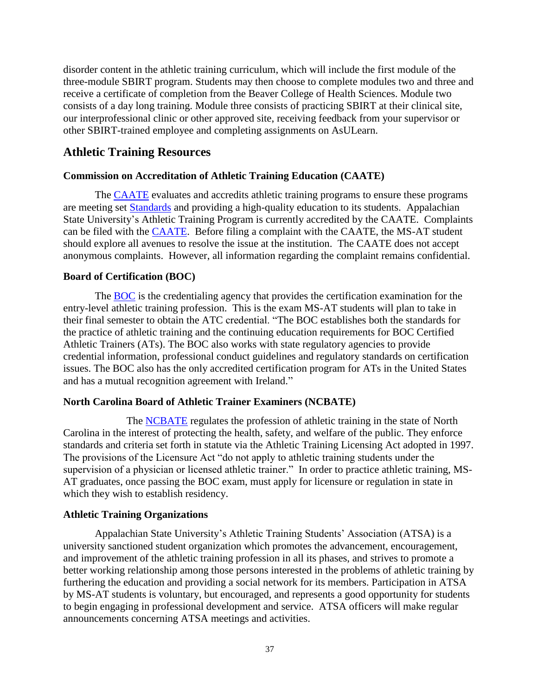disorder content in the athletic training curriculum, which will include the first module of the three-module SBIRT program. Students may then choose to complete modules two and three and receive a certificate of completion from the Beaver College of Health Sciences. Module two consists of a day long training. Module three consists of practicing SBIRT at their clinical site, our interprofessional clinic or other approved site, receiving feedback from your supervisor or other SBIRT-trained employee and completing assignments on AsULearn.

#### **Athletic Training Resources**

#### **Commission on Accreditation of Athletic Training Education (CAATE)**

The [CAATE](https://caate.net/) evaluates and accredits athletic training programs to ensure these programs are meeting set **Standards** and providing a high-quality education to its students. Appalachian State University's Athletic Training Program is currently accredited by the CAATE. Complaints can be filed with the [CAATE.](http://caate.net/contact/) Before filing a complaint with the CAATE, the MS-AT student should explore all avenues to resolve the issue at the institution. The CAATE does not accept anonymous complaints. However, all information regarding the complaint remains confidential.

#### **Board of Certification (BOC)**

The [BOC](https://www.bocatc.org/) is the credentialing agency that provides the certification examination for the entry-level athletic training profession. This is the exam MS-AT students will plan to take in their final semester to obtain the ATC credential. "The BOC establishes both the standards for the practice of athletic training and the continuing education requirements for BOC Certified Athletic Trainers (ATs). The BOC also works with state regulatory agencies to provide credential information, professional conduct guidelines and regulatory standards on certification issues. The BOC also has the only accredited certification program for ATs in the United States and has a mutual recognition agreement with Ireland."

#### **North Carolina Board of Athletic Trainer Examiners (NCBATE)**

The [NCBATE](http://www.ncbate.org/) regulates the profession of athletic training in the state of North Carolina in the interest of protecting the health, safety, and welfare of the public. They enforce standards and criteria set forth in statute via the Athletic Training Licensing Act adopted in 1997. The provisions of the Licensure Act "do not apply to athletic training students under the supervision of a physician or licensed athletic trainer." In order to practice athletic training, MS-AT graduates, once passing the BOC exam, must apply for licensure or regulation in state in which they wish to establish residency.

#### **Athletic Training Organizations**

Appalachian State University's Athletic Training Students' Association (ATSA) is a university sanctioned student organization which promotes the advancement, encouragement, and improvement of the athletic training profession in all its phases, and strives to promote a better working relationship among those persons interested in the problems of athletic training by furthering the education and providing a social network for its members. Participation in ATSA by MS-AT students is voluntary, but encouraged, and represents a good opportunity for students to begin engaging in professional development and service. ATSA officers will make regular announcements concerning ATSA meetings and activities.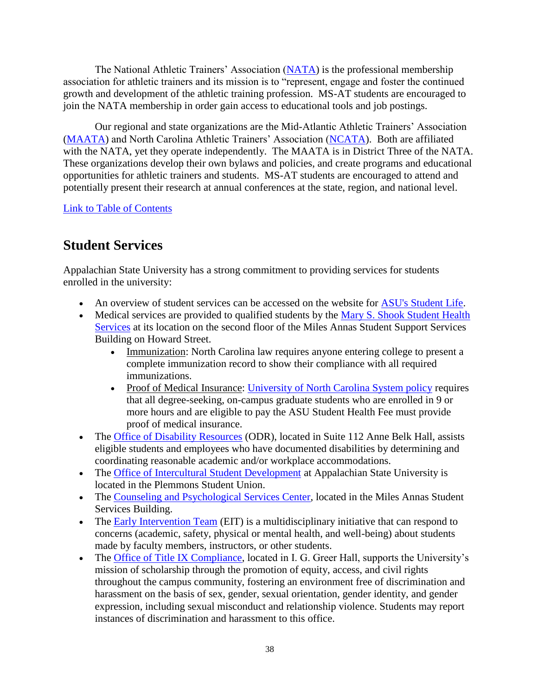The National Athletic Trainers' Association [\(NATA\)](https://www.nata.org/) is the professional membership association for athletic trainers and its mission is to "represent, engage and foster the continued growth and development of the athletic training profession. MS-AT students are encouraged to join the NATA membership in order gain access to educational tools and job postings.

Our regional and state organizations are the Mid-Atlantic Athletic Trainers' Association [\(MAATA\)](https://www.maata.org/) and North Carolina Athletic Trainers' Association [\(NCATA\)](https://www.ncathletictrainer.org/). Both are affiliated with the NATA, yet they operate independently. The MAATA is in District Three of the NATA. These organizations develop their own bylaws and policies, and create programs and educational opportunities for athletic trainers and students. MS-AT students are encouraged to attend and potentially present their research at annual conferences at the state, region, and national level.

[Link to Table of Contents](#page-1-1)

## <span id="page-37-0"></span>**Student Services**

Appalachian State University has a strong commitment to providing services for students enrolled in the university:

- An overview of student services can be accessed on the website for [ASU's Student Life.](http://www.appstate.edu/studentlife/services.php)
- Medical services are provided to qualified students by the Mary S. Shook Student Health [Services](http://healthservices.appstate.edu/) at its location on the second floor of the Miles Annas Student Support Services Building on Howard Street.
	- Immunization: North Carolina law requires anyone entering college to present a complete immunization record to show their compliance with all required immunizations.
	- Proof of Medical Insurance: [University of North Carolina System policy](http://healthservices.appstate.edu/pagesmith/203) requires that all degree-seeking, on-campus graduate students who are enrolled in 9 or more hours and are eligible to pay the ASU Student Health Fee must provide proof of medical insurance.
- The [Office of Disability Resources](https://odr.appstate.edu/) (ODR), located in Suite 112 Anne Belk Hall, assists eligible students and employees who have documented disabilities by determining and coordinating reasonable academic and/or workplace accommodations.
- The [Office of Intercultural Student Development](http://multicultural.appstate.edu/) at Appalachian State University is located in the Plemmons Student Union.
- The [Counseling and Psychological Services Center,](http://counseling.appstate.edu/index.php) located in the Miles Annas Student Services Building.
- The [Early Intervention Team](http://eit.appstate.edu/) (EIT) is a multidisciplinary initiative that can respond to concerns (academic, safety, physical or mental health, and well-being) about students made by faculty members, instructors, or other students.
- The [Office of Title IX Compliance,](https://titleix.appstate.edu/) located in I. G. Greer Hall, supports the University's mission of scholarship through the promotion of equity, access, and civil rights throughout the campus community, fostering an environment free of discrimination and harassment on the basis of sex, gender, sexual orientation, gender identity, and gender expression, including sexual misconduct and relationship violence. Students may report instances of discrimination and harassment to this office.